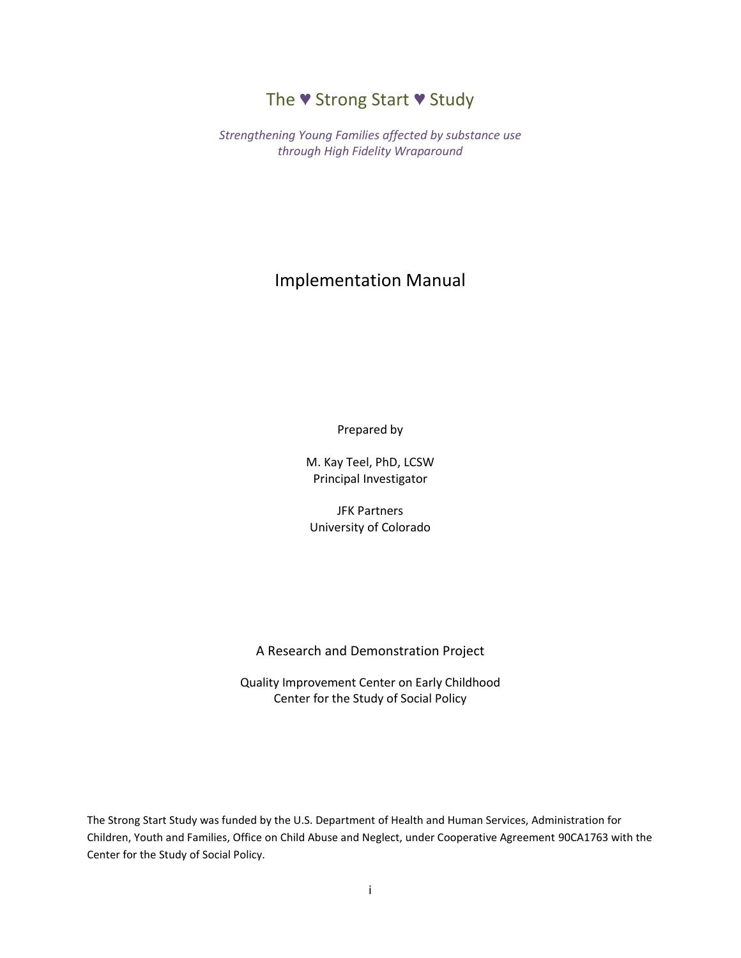# The ♥ Strong Start ♥ Study

*Strengthening Young Families affected by substance use through High Fidelity Wraparound*

# Implementation Manual

Prepared by

M. Kay Teel, PhD, LCSW Principal Investigator

JFK Partners University of Colorado

#### A Research and Demonstration Project

Quality Improvement Center on Early Childhood Center for the Study of Social Policy

The Strong Start Study was funded by the U.S. Department of Health and Human Services, Administration for Children, Youth and Families, Office on Child Abuse and Neglect, under Cooperative Agreement 90CA1763 with the Center for the Study of Social Policy*.*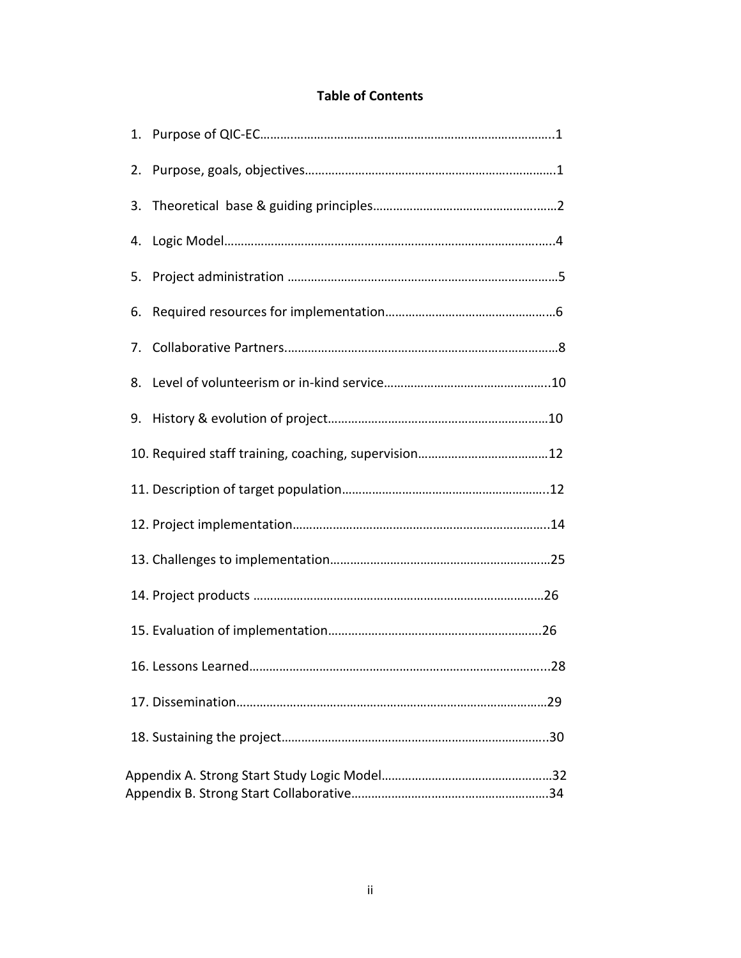# **Table of Contents**

| 2. |                           |
|----|---------------------------|
| 3. |                           |
| 4. |                           |
| 5. |                           |
| 6. |                           |
| 7. |                           |
| 8. |                           |
| 9. |                           |
|    |                           |
|    |                           |
|    |                           |
|    |                           |
|    |                           |
|    |                           |
|    | 28<br>16. Lessons Learned |
|    |                           |
|    |                           |
|    |                           |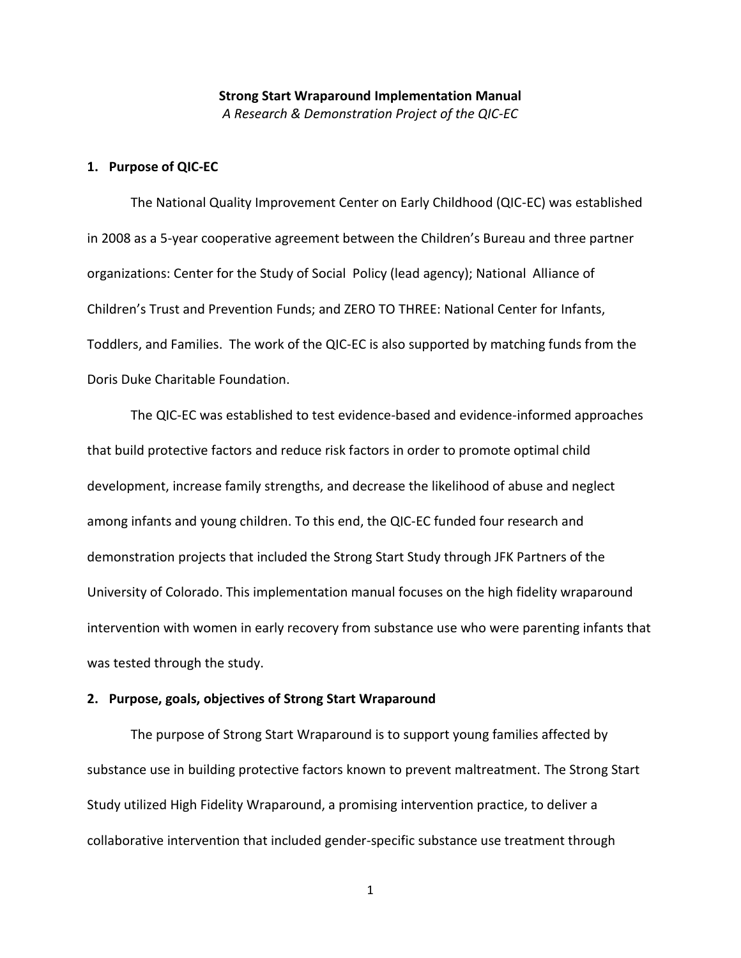# **Strong Start Wraparound Implementation Manual** *A Research & Demonstration Project of the QIC-EC*

# **1. Purpose of QIC-EC**

The National Quality Improvement Center on Early Childhood (QIC-EC) was established in 2008 as a 5-year cooperative agreement between the Children's Bureau and three partner organizations: Center for the Study of Social Policy (lead agency); National Alliance of Children's Trust and Prevention Funds; and ZERO TO THREE: National Center for Infants, Toddlers, and Families. The work of the QIC-EC is also supported by matching funds from the Doris Duke Charitable Foundation.

The QIC-EC was established to test evidence-based and evidence-informed approaches that build protective factors and reduce risk factors in order to promote optimal child development, increase family strengths, and decrease the likelihood of abuse and neglect among infants and young children. To this end, the QIC-EC funded four research and demonstration projects that included the Strong Start Study through JFK Partners of the University of Colorado. This implementation manual focuses on the high fidelity wraparound intervention with women in early recovery from substance use who were parenting infants that was tested through the study.

## **2. Purpose, goals, objectives of Strong Start Wraparound**

The purpose of Strong Start Wraparound is to support young families affected by substance use in building protective factors known to prevent maltreatment. The Strong Start Study utilized High Fidelity Wraparound, a promising intervention practice, to deliver a collaborative intervention that included gender-specific substance use treatment through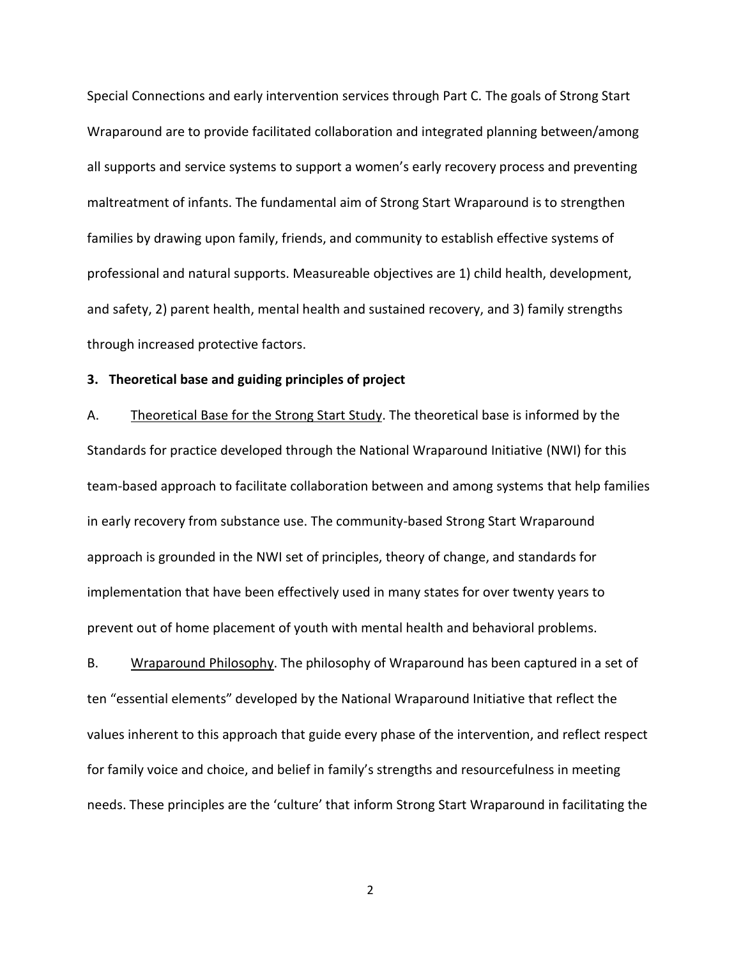Special Connections and early intervention services through Part C. The goals of Strong Start Wraparound are to provide facilitated collaboration and integrated planning between/among all supports and service systems to support a women's early recovery process and preventing maltreatment of infants. The fundamental aim of Strong Start Wraparound is to strengthen families by drawing upon family, friends, and community to establish effective systems of professional and natural supports. Measureable objectives are 1) child health, development, and safety, 2) parent health, mental health and sustained recovery, and 3) family strengths through increased protective factors.

## **3. Theoretical base and guiding principles of project**

A. Theoretical Base for the Strong Start Study. The theoretical base is informed by the Standards for practice developed through the National Wraparound Initiative (NWI) for this team-based approach to facilitate collaboration between and among systems that help families in early recovery from substance use. The community-based Strong Start Wraparound approach is grounded in the NWI set of principles, theory of change, and standards for implementation that have been effectively used in many states for over twenty years to prevent out of home placement of youth with mental health and behavioral problems.

B. Wraparound Philosophy. The philosophy of Wraparound has been captured in a set of ten "essential elements" developed by the National Wraparound Initiative that reflect the values inherent to this approach that guide every phase of the intervention, and reflect respect for family voice and choice, and belief in family's strengths and resourcefulness in meeting needs. These principles are the 'culture' that inform Strong Start Wraparound in facilitating the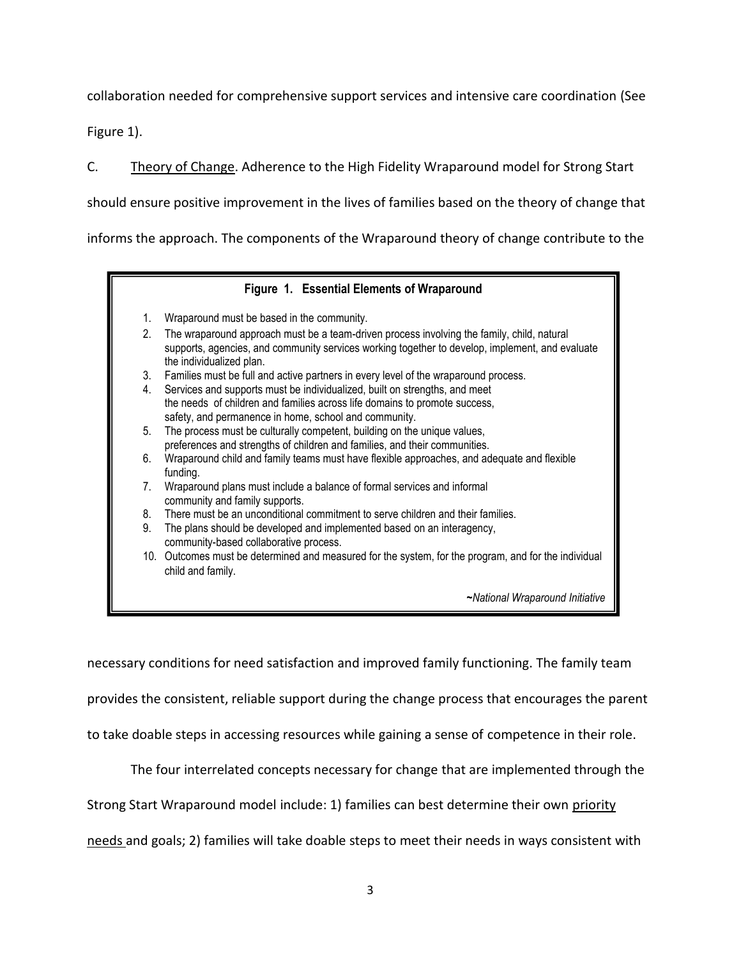collaboration needed for comprehensive support services and intensive care coordination (See

Figure 1).

C. Theory of Change. Adherence to the High Fidelity Wraparound model for Strong Start

should ensure positive improvement in the lives of families based on the theory of change that

informs the approach. The components of the Wraparound theory of change contribute to the

# **Figure 1. Essential Elements of Wraparound**

- 1. Wraparound must be based in the community.
- 2. The wraparound approach must be a team-driven process involving the family, child, natural supports, agencies, and community services working together to develop, implement, and evaluate the individualized plan.
- 3. Families must be full and active partners in every level of the wraparound process.
- 4. Services and supports must be individualized, built on strengths, and meet the needs of children and families across life domains to promote success, safety, and permanence in home, school and community.
- 5. The process must be culturally competent, building on the unique values, preferences and strengths of children and families, and their communities.
- 6. Wraparound child and family teams must have flexible approaches, and adequate and flexible funding.
- 7. Wraparound plans must include a balance of formal services and informal community and family supports.
- 8. There must be an unconditional commitment to serve children and their families.
- 9. The plans should be developed and implemented based on an interagency, community-based collaborative process.
- 10. Outcomes must be determined and measured for the system, for the program, and for the individual child and family.

**~***National Wraparound Initiative*

necessary conditions for need satisfaction and improved family functioning. The family team

provides the consistent, reliable support during the change process that encourages the parent

to take doable steps in accessing resources while gaining a sense of competence in their role.

The four interrelated concepts necessary for change that are implemented through the

Strong Start Wraparound model include: 1) families can best determine their own priority

needs and goals; 2) families will take doable steps to meet their needs in ways consistent with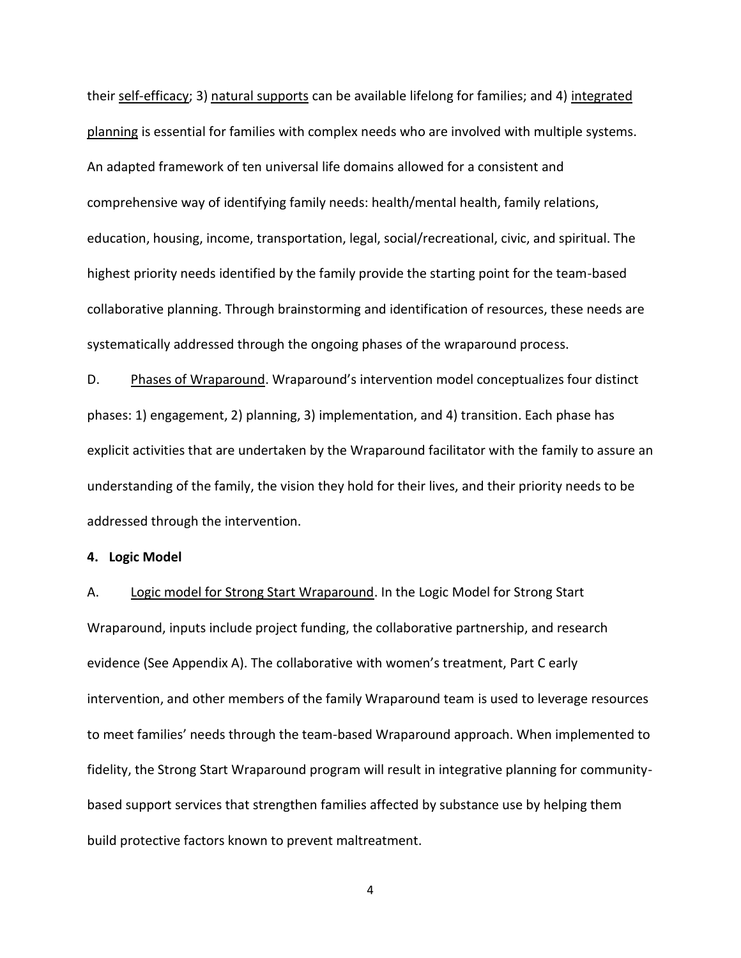their self-efficacy; 3) natural supports can be available lifelong for families; and 4) integrated planning is essential for families with complex needs who are involved with multiple systems. An adapted framework of ten universal life domains allowed for a consistent and comprehensive way of identifying family needs: health/mental health, family relations, education, housing, income, transportation, legal, social/recreational, civic, and spiritual. The highest priority needs identified by the family provide the starting point for the team-based collaborative planning. Through brainstorming and identification of resources, these needs are systematically addressed through the ongoing phases of the wraparound process.

D. Phases of Wraparound. Wraparound's intervention model conceptualizes four distinct phases: 1) engagement, 2) planning, 3) implementation, and 4) transition. Each phase has explicit activities that are undertaken by the Wraparound facilitator with the family to assure an understanding of the family, the vision they hold for their lives, and their priority needs to be addressed through the intervention.

**4. Logic Model**

A. Logic model for Strong Start Wraparound. In the Logic Model for Strong Start Wraparound, inputs include project funding, the collaborative partnership, and research evidence (See Appendix A). The collaborative with women's treatment, Part C early intervention, and other members of the family Wraparound team is used to leverage resources to meet families' needs through the team-based Wraparound approach. When implemented to fidelity, the Strong Start Wraparound program will result in integrative planning for communitybased support services that strengthen families affected by substance use by helping them build protective factors known to prevent maltreatment.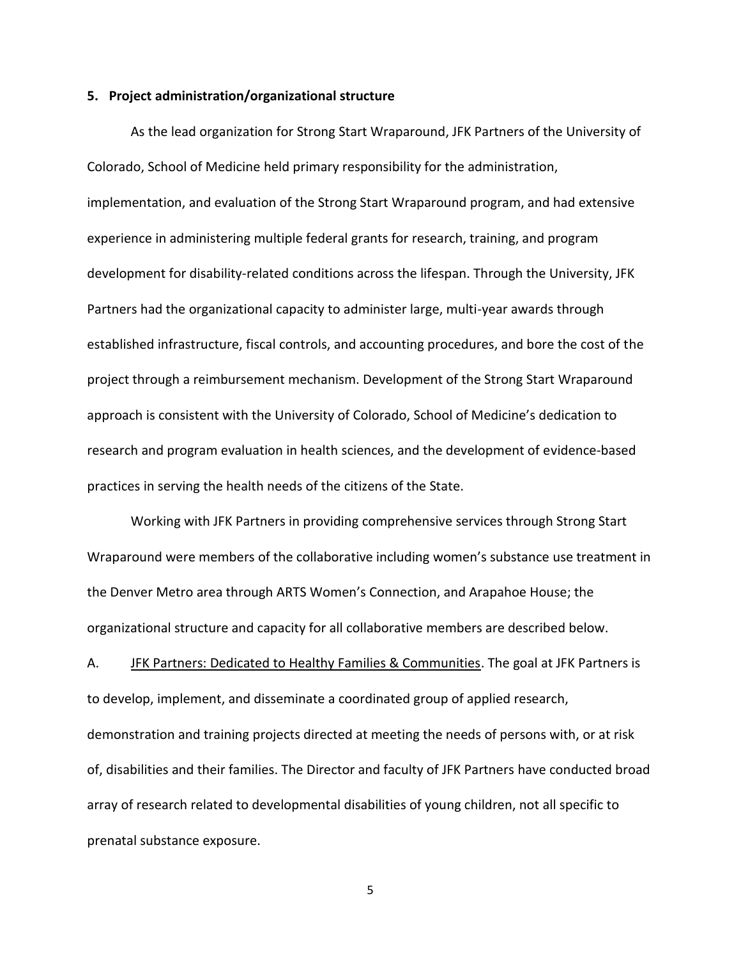#### **5. Project administration/organizational structure**

As the lead organization for Strong Start Wraparound, JFK Partners of the University of Colorado, School of Medicine held primary responsibility for the administration, implementation, and evaluation of the Strong Start Wraparound program, and had extensive experience in administering multiple federal grants for research, training, and program development for disability-related conditions across the lifespan. Through the University, JFK Partners had the organizational capacity to administer large, multi-year awards through established infrastructure, fiscal controls, and accounting procedures, and bore the cost of the project through a reimbursement mechanism. Development of the Strong Start Wraparound approach is consistent with the University of Colorado, School of Medicine's dedication to research and program evaluation in health sciences, and the development of evidence-based practices in serving the health needs of the citizens of the State.

Working with JFK Partners in providing comprehensive services through Strong Start Wraparound were members of the collaborative including women's substance use treatment in the Denver Metro area through ARTS Women's Connection, and Arapahoe House; the organizational structure and capacity for all collaborative members are described below.

A. JFK Partners: Dedicated to Healthy Families & Communities. The goal at JFK Partners is to develop, implement, and disseminate a coordinated group of applied research, demonstration and training projects directed at meeting the needs of persons with, or at risk of, disabilities and their families. The Director and faculty of JFK Partners have conducted broad array of research related to developmental disabilities of young children, not all specific to prenatal substance exposure.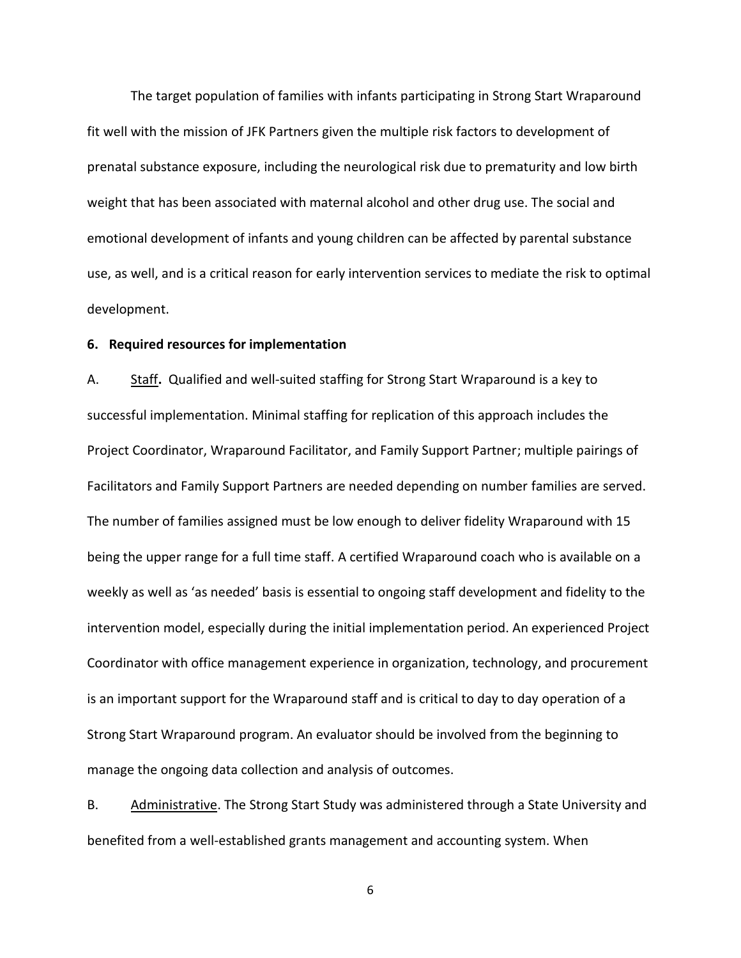The target population of families with infants participating in Strong Start Wraparound fit well with the mission of JFK Partners given the multiple risk factors to development of prenatal substance exposure, including the neurological risk due to prematurity and low birth weight that has been associated with maternal alcohol and other drug use. The social and emotional development of infants and young children can be affected by parental substance use, as well, and is a critical reason for early intervention services to mediate the risk to optimal development.

#### **6. Required resources for implementation**

A. Staff**.** Qualified and well-suited staffing for Strong Start Wraparound is a key to successful implementation. Minimal staffing for replication of this approach includes the Project Coordinator, Wraparound Facilitator, and Family Support Partner; multiple pairings of Facilitators and Family Support Partners are needed depending on number families are served. The number of families assigned must be low enough to deliver fidelity Wraparound with 15 being the upper range for a full time staff. A certified Wraparound coach who is available on a weekly as well as 'as needed' basis is essential to ongoing staff development and fidelity to the intervention model, especially during the initial implementation period. An experienced Project Coordinator with office management experience in organization, technology, and procurement is an important support for the Wraparound staff and is critical to day to day operation of a Strong Start Wraparound program. An evaluator should be involved from the beginning to manage the ongoing data collection and analysis of outcomes.

B. Administrative. The Strong Start Study was administered through a State University and benefited from a well-established grants management and accounting system. When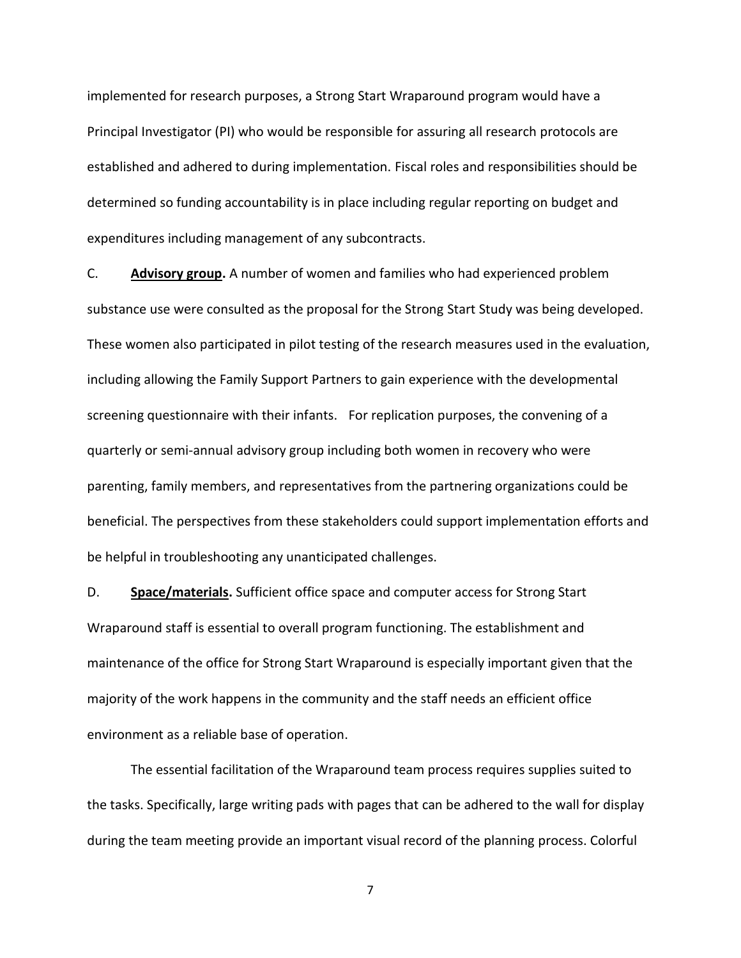implemented for research purposes, a Strong Start Wraparound program would have a Principal Investigator (PI) who would be responsible for assuring all research protocols are established and adhered to during implementation. Fiscal roles and responsibilities should be determined so funding accountability is in place including regular reporting on budget and expenditures including management of any subcontracts.

C. **Advisory group.** A number of women and families who had experienced problem substance use were consulted as the proposal for the Strong Start Study was being developed. These women also participated in pilot testing of the research measures used in the evaluation, including allowing the Family Support Partners to gain experience with the developmental screening questionnaire with their infants. For replication purposes, the convening of a quarterly or semi-annual advisory group including both women in recovery who were parenting, family members, and representatives from the partnering organizations could be beneficial. The perspectives from these stakeholders could support implementation efforts and be helpful in troubleshooting any unanticipated challenges.

D. **Space/materials.** Sufficient office space and computer access for Strong Start Wraparound staff is essential to overall program functioning. The establishment and maintenance of the office for Strong Start Wraparound is especially important given that the majority of the work happens in the community and the staff needs an efficient office environment as a reliable base of operation.

The essential facilitation of the Wraparound team process requires supplies suited to the tasks. Specifically, large writing pads with pages that can be adhered to the wall for display during the team meeting provide an important visual record of the planning process. Colorful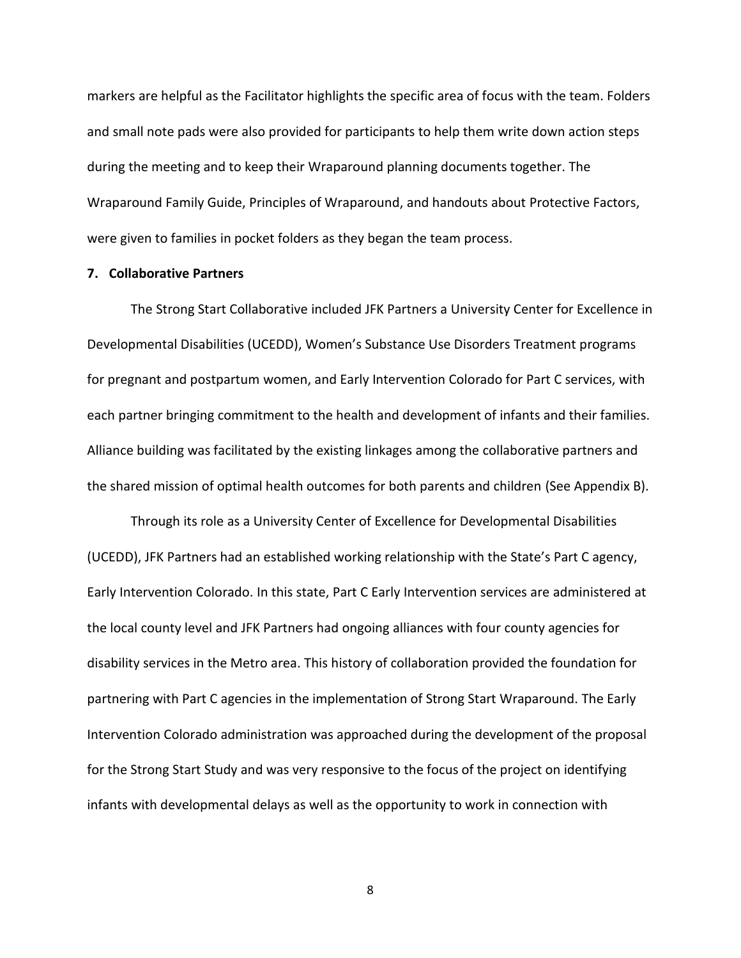markers are helpful as the Facilitator highlights the specific area of focus with the team. Folders and small note pads were also provided for participants to help them write down action steps during the meeting and to keep their Wraparound planning documents together. The Wraparound Family Guide, Principles of Wraparound, and handouts about Protective Factors, were given to families in pocket folders as they began the team process.

#### **7. Collaborative Partners**

The Strong Start Collaborative included JFK Partners a University Center for Excellence in Developmental Disabilities (UCEDD), Women's Substance Use Disorders Treatment programs for pregnant and postpartum women, and Early Intervention Colorado for Part C services, with each partner bringing commitment to the health and development of infants and their families. Alliance building was facilitated by the existing linkages among the collaborative partners and the shared mission of optimal health outcomes for both parents and children (See Appendix B).

Through its role as a University Center of Excellence for Developmental Disabilities (UCEDD), JFK Partners had an established working relationship with the State's Part C agency, Early Intervention Colorado. In this state, Part C Early Intervention services are administered at the local county level and JFK Partners had ongoing alliances with four county agencies for disability services in the Metro area. This history of collaboration provided the foundation for partnering with Part C agencies in the implementation of Strong Start Wraparound. The Early Intervention Colorado administration was approached during the development of the proposal for the Strong Start Study and was very responsive to the focus of the project on identifying infants with developmental delays as well as the opportunity to work in connection with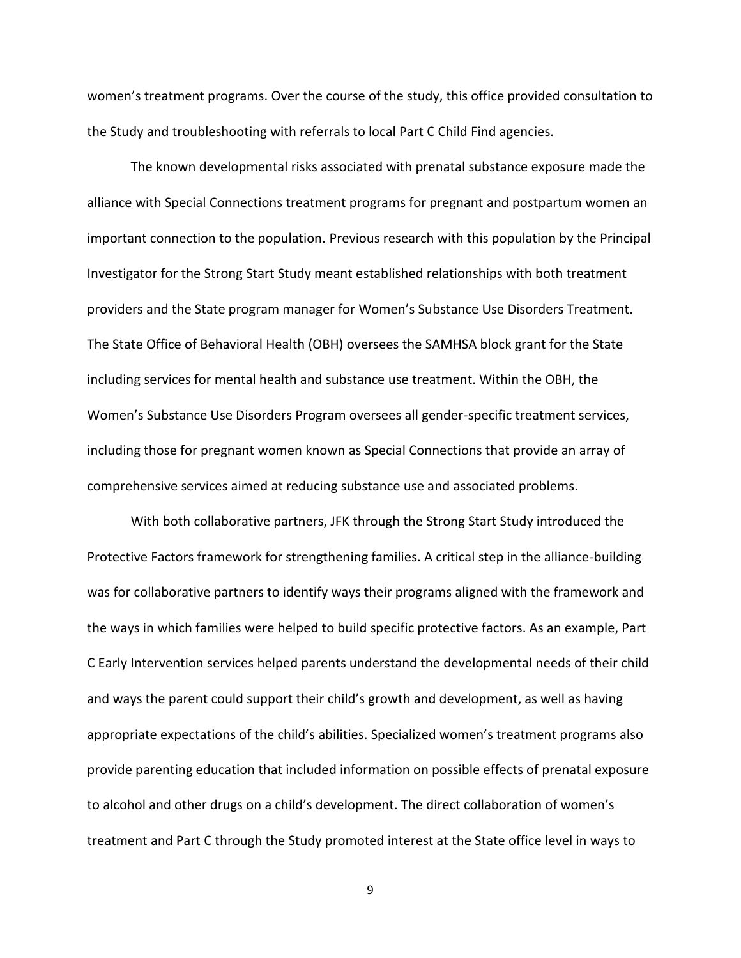women's treatment programs. Over the course of the study, this office provided consultation to the Study and troubleshooting with referrals to local Part C Child Find agencies.

The known developmental risks associated with prenatal substance exposure made the alliance with Special Connections treatment programs for pregnant and postpartum women an important connection to the population. Previous research with this population by the Principal Investigator for the Strong Start Study meant established relationships with both treatment providers and the State program manager for Women's Substance Use Disorders Treatment. The State Office of Behavioral Health (OBH) oversees the SAMHSA block grant for the State including services for mental health and substance use treatment. Within the OBH, the Women's Substance Use Disorders Program oversees all gender-specific treatment services, including those for pregnant women known as Special Connections that provide an array of comprehensive services aimed at reducing substance use and associated problems.

With both collaborative partners, JFK through the Strong Start Study introduced the Protective Factors framework for strengthening families. A critical step in the alliance-building was for collaborative partners to identify ways their programs aligned with the framework and the ways in which families were helped to build specific protective factors. As an example, Part C Early Intervention services helped parents understand the developmental needs of their child and ways the parent could support their child's growth and development, as well as having appropriate expectations of the child's abilities. Specialized women's treatment programs also provide parenting education that included information on possible effects of prenatal exposure to alcohol and other drugs on a child's development. The direct collaboration of women's treatment and Part C through the Study promoted interest at the State office level in ways to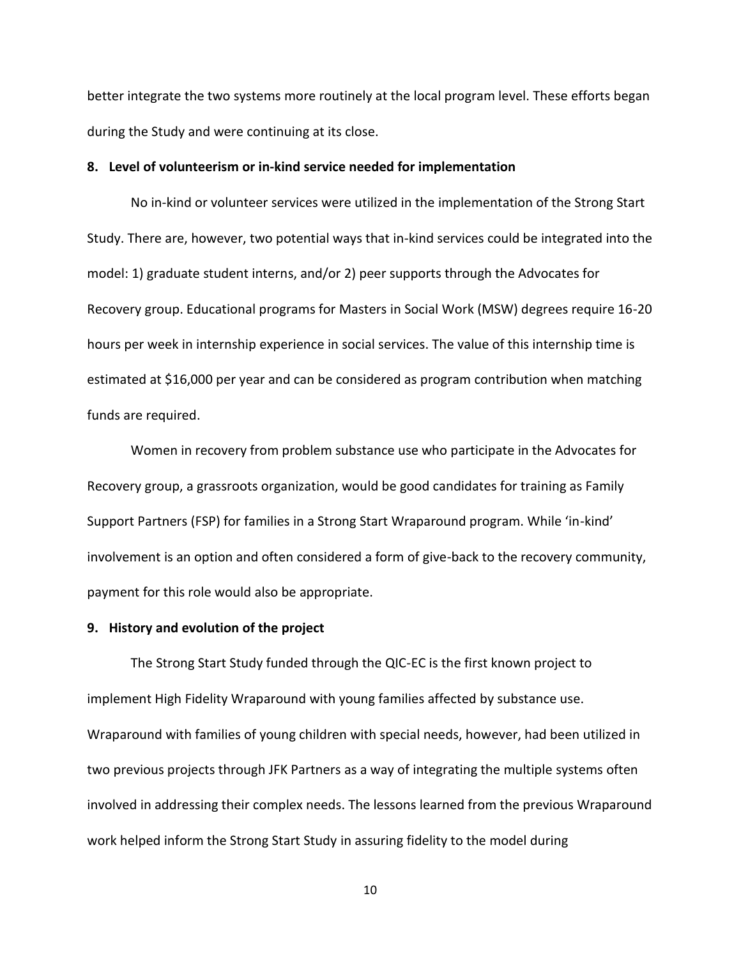better integrate the two systems more routinely at the local program level. These efforts began during the Study and were continuing at its close.

### **8. Level of volunteerism or in-kind service needed for implementation**

No in-kind or volunteer services were utilized in the implementation of the Strong Start Study. There are, however, two potential ways that in-kind services could be integrated into the model: 1) graduate student interns, and/or 2) peer supports through the Advocates for Recovery group. Educational programs for Masters in Social Work (MSW) degrees require 16-20 hours per week in internship experience in social services. The value of this internship time is estimated at \$16,000 per year and can be considered as program contribution when matching funds are required.

Women in recovery from problem substance use who participate in the Advocates for Recovery group, a grassroots organization, would be good candidates for training as Family Support Partners (FSP) for families in a Strong Start Wraparound program. While 'in-kind' involvement is an option and often considered a form of give-back to the recovery community, payment for this role would also be appropriate.

# **9. History and evolution of the project**

The Strong Start Study funded through the QIC-EC is the first known project to implement High Fidelity Wraparound with young families affected by substance use. Wraparound with families of young children with special needs, however, had been utilized in two previous projects through JFK Partners as a way of integrating the multiple systems often involved in addressing their complex needs. The lessons learned from the previous Wraparound work helped inform the Strong Start Study in assuring fidelity to the model during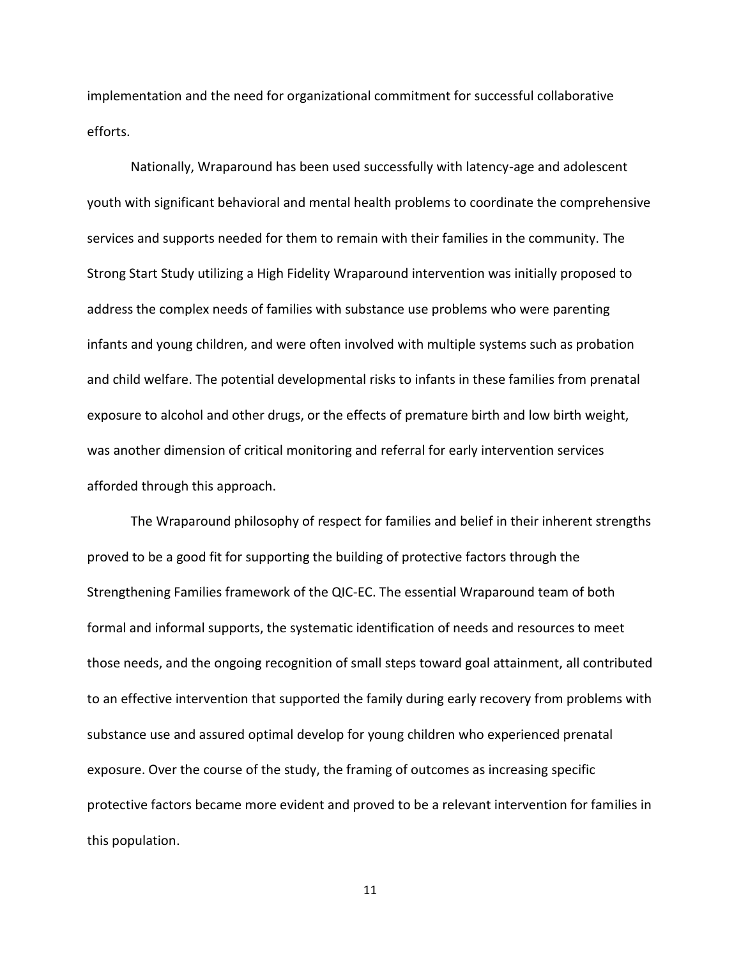implementation and the need for organizational commitment for successful collaborative efforts.

Nationally, Wraparound has been used successfully with latency-age and adolescent youth with significant behavioral and mental health problems to coordinate the comprehensive services and supports needed for them to remain with their families in the community. The Strong Start Study utilizing a High Fidelity Wraparound intervention was initially proposed to address the complex needs of families with substance use problems who were parenting infants and young children, and were often involved with multiple systems such as probation and child welfare. The potential developmental risks to infants in these families from prenatal exposure to alcohol and other drugs, or the effects of premature birth and low birth weight, was another dimension of critical monitoring and referral for early intervention services afforded through this approach.

The Wraparound philosophy of respect for families and belief in their inherent strengths proved to be a good fit for supporting the building of protective factors through the Strengthening Families framework of the QIC-EC. The essential Wraparound team of both formal and informal supports, the systematic identification of needs and resources to meet those needs, and the ongoing recognition of small steps toward goal attainment, all contributed to an effective intervention that supported the family during early recovery from problems with substance use and assured optimal develop for young children who experienced prenatal exposure. Over the course of the study, the framing of outcomes as increasing specific protective factors became more evident and proved to be a relevant intervention for families in this population.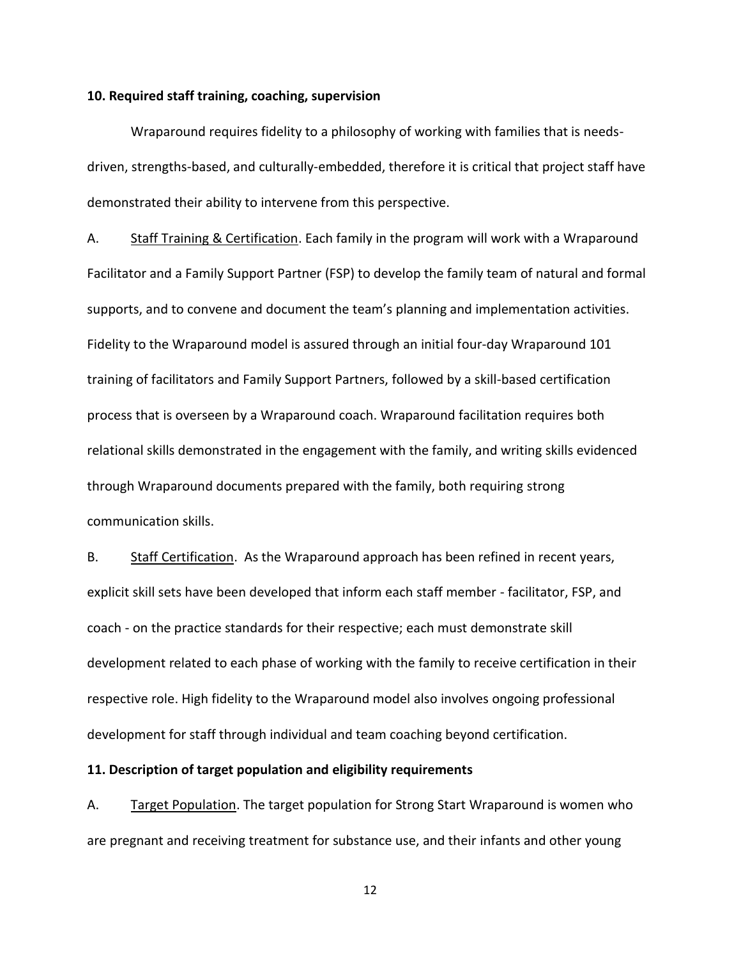## **10. Required staff training, coaching, supervision**

Wraparound requires fidelity to a philosophy of working with families that is needsdriven, strengths-based, and culturally-embedded, therefore it is critical that project staff have demonstrated their ability to intervene from this perspective.

A. Staff Training & Certification. Each family in the program will work with a Wraparound Facilitator and a Family Support Partner (FSP) to develop the family team of natural and formal supports, and to convene and document the team's planning and implementation activities. Fidelity to the Wraparound model is assured through an initial four-day Wraparound 101 training of facilitators and Family Support Partners, followed by a skill-based certification process that is overseen by a Wraparound coach. Wraparound facilitation requires both relational skills demonstrated in the engagement with the family, and writing skills evidenced through Wraparound documents prepared with the family, both requiring strong communication skills.

B. Staff Certification. As the Wraparound approach has been refined in recent years, explicit skill sets have been developed that inform each staff member - facilitator, FSP, and coach - on the practice standards for their respective; each must demonstrate skill development related to each phase of working with the family to receive certification in their respective role. High fidelity to the Wraparound model also involves ongoing professional development for staff through individual and team coaching beyond certification.

#### **11. Description of target population and eligibility requirements**

A. Target Population. The target population for Strong Start Wraparound is women who are pregnant and receiving treatment for substance use, and their infants and other young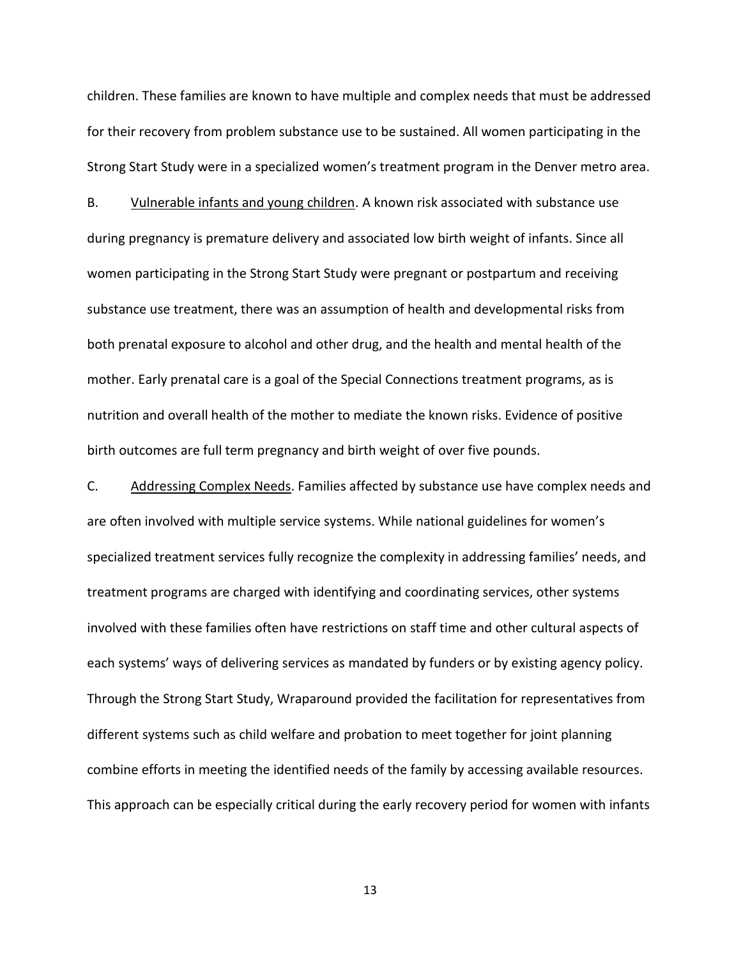children. These families are known to have multiple and complex needs that must be addressed for their recovery from problem substance use to be sustained. All women participating in the Strong Start Study were in a specialized women's treatment program in the Denver metro area.

B. Vulnerable infants and young children. A known risk associated with substance use during pregnancy is premature delivery and associated low birth weight of infants. Since all women participating in the Strong Start Study were pregnant or postpartum and receiving substance use treatment, there was an assumption of health and developmental risks from both prenatal exposure to alcohol and other drug, and the health and mental health of the mother. Early prenatal care is a goal of the Special Connections treatment programs, as is nutrition and overall health of the mother to mediate the known risks. Evidence of positive birth outcomes are full term pregnancy and birth weight of over five pounds.

C. Addressing Complex Needs. Families affected by substance use have complex needs and are often involved with multiple service systems. While national guidelines for women's specialized treatment services fully recognize the complexity in addressing families' needs, and treatment programs are charged with identifying and coordinating services, other systems involved with these families often have restrictions on staff time and other cultural aspects of each systems' ways of delivering services as mandated by funders or by existing agency policy. Through the Strong Start Study, Wraparound provided the facilitation for representatives from different systems such as child welfare and probation to meet together for joint planning combine efforts in meeting the identified needs of the family by accessing available resources. This approach can be especially critical during the early recovery period for women with infants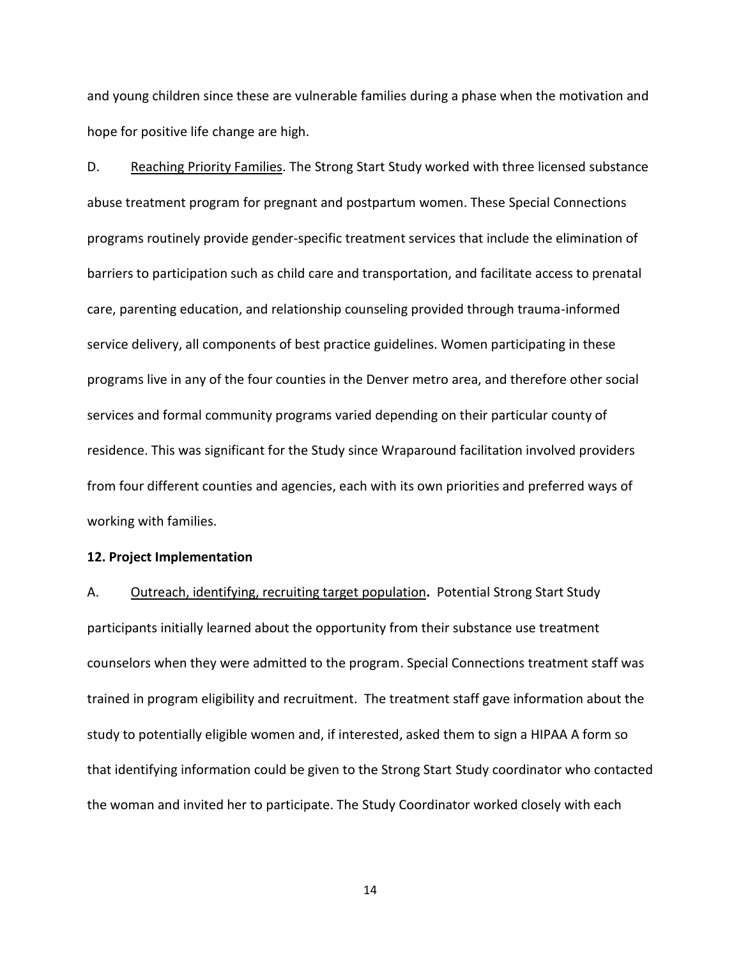and young children since these are vulnerable families during a phase when the motivation and hope for positive life change are high.

D. Reaching Priority Families. The Strong Start Study worked with three licensed substance abuse treatment program for pregnant and postpartum women. These Special Connections programs routinely provide gender-specific treatment services that include the elimination of barriers to participation such as child care and transportation, and facilitate access to prenatal care, parenting education, and relationship counseling provided through trauma-informed service delivery, all components of best practice guidelines. Women participating in these programs live in any of the four counties in the Denver metro area, and therefore other social services and formal community programs varied depending on their particular county of residence. This was significant for the Study since Wraparound facilitation involved providers from four different counties and agencies, each with its own priorities and preferred ways of working with families.

#### **12. Project Implementation**

A. Outreach, identifying, recruiting target population**.** Potential Strong Start Study participants initially learned about the opportunity from their substance use treatment counselors when they were admitted to the program. Special Connections treatment staff was trained in program eligibility and recruitment. The treatment staff gave information about the study to potentially eligible women and, if interested, asked them to sign a HIPAA A form so that identifying information could be given to the Strong Start Study coordinator who contacted the woman and invited her to participate. The Study Coordinator worked closely with each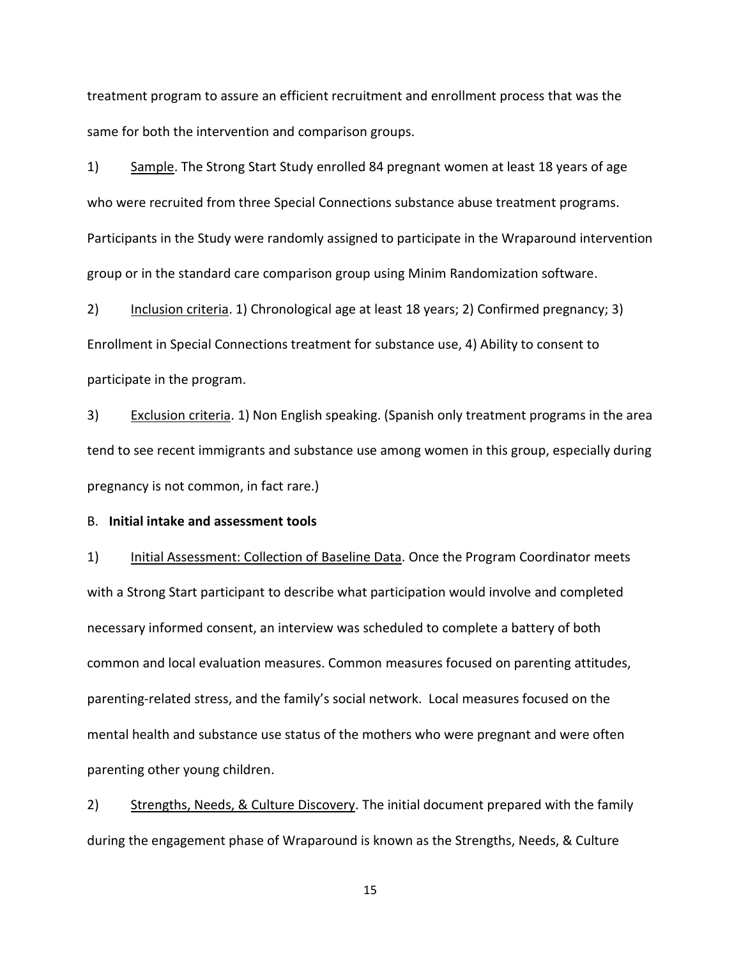treatment program to assure an efficient recruitment and enrollment process that was the same for both the intervention and comparison groups.

1) Sample. The Strong Start Study enrolled 84 pregnant women at least 18 years of age who were recruited from three Special Connections substance abuse treatment programs. Participants in the Study were randomly assigned to participate in the Wraparound intervention group or in the standard care comparison group using Minim Randomization software.

2) Inclusion criteria. 1) Chronological age at least 18 years; 2) Confirmed pregnancy; 3) Enrollment in Special Connections treatment for substance use, 4) Ability to consent to participate in the program.

3) Exclusion criteria. 1) Non English speaking. (Spanish only treatment programs in the area tend to see recent immigrants and substance use among women in this group, especially during pregnancy is not common, in fact rare.)

# B. **Initial intake and assessment tools**

1) Initial Assessment: Collection of Baseline Data. Once the Program Coordinator meets with a Strong Start participant to describe what participation would involve and completed necessary informed consent, an interview was scheduled to complete a battery of both common and local evaluation measures. Common measures focused on parenting attitudes, parenting-related stress, and the family's social network. Local measures focused on the mental health and substance use status of the mothers who were pregnant and were often parenting other young children.

2) Strengths, Needs, & Culture Discovery. The initial document prepared with the family during the engagement phase of Wraparound is known as the Strengths, Needs, & Culture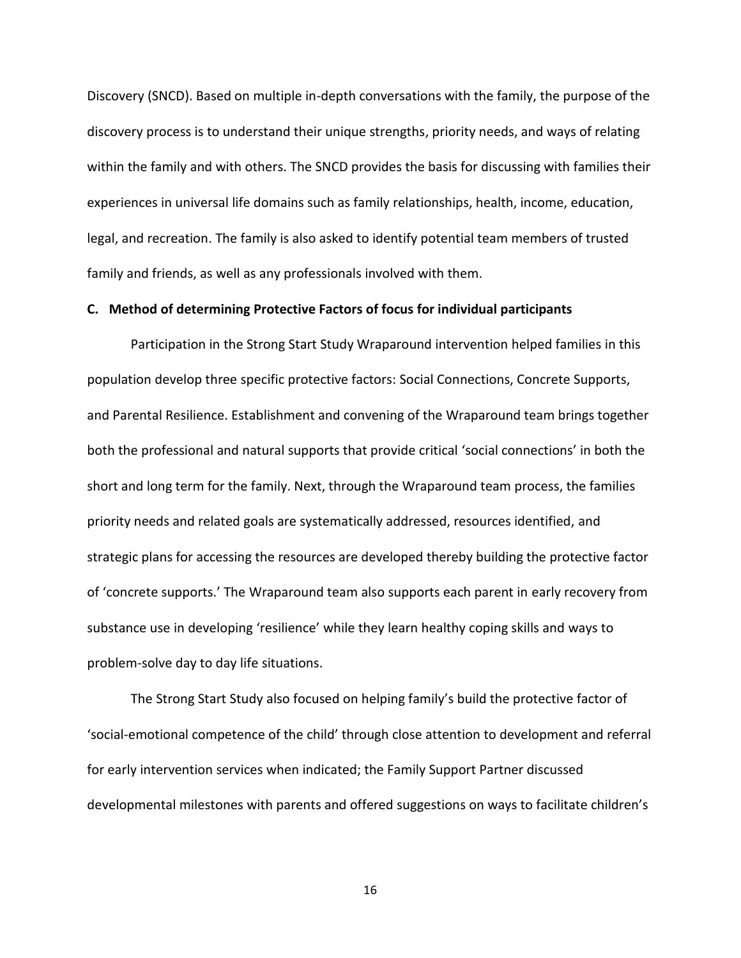Discovery (SNCD). Based on multiple in-depth conversations with the family, the purpose of the discovery process is to understand their unique strengths, priority needs, and ways of relating within the family and with others. The SNCD provides the basis for discussing with families their experiences in universal life domains such as family relationships, health, income, education, legal, and recreation. The family is also asked to identify potential team members of trusted family and friends, as well as any professionals involved with them.

#### **C. Method of determining Protective Factors of focus for individual participants**

Participation in the Strong Start Study Wraparound intervention helped families in this population develop three specific protective factors: Social Connections, Concrete Supports, and Parental Resilience. Establishment and convening of the Wraparound team brings together both the professional and natural supports that provide critical 'social connections' in both the short and long term for the family. Next, through the Wraparound team process, the families priority needs and related goals are systematically addressed, resources identified, and strategic plans for accessing the resources are developed thereby building the protective factor of 'concrete supports.' The Wraparound team also supports each parent in early recovery from substance use in developing 'resilience' while they learn healthy coping skills and ways to problem-solve day to day life situations.

The Strong Start Study also focused on helping family's build the protective factor of 'social-emotional competence of the child' through close attention to development and referral for early intervention services when indicated; the Family Support Partner discussed developmental milestones with parents and offered suggestions on ways to facilitate children's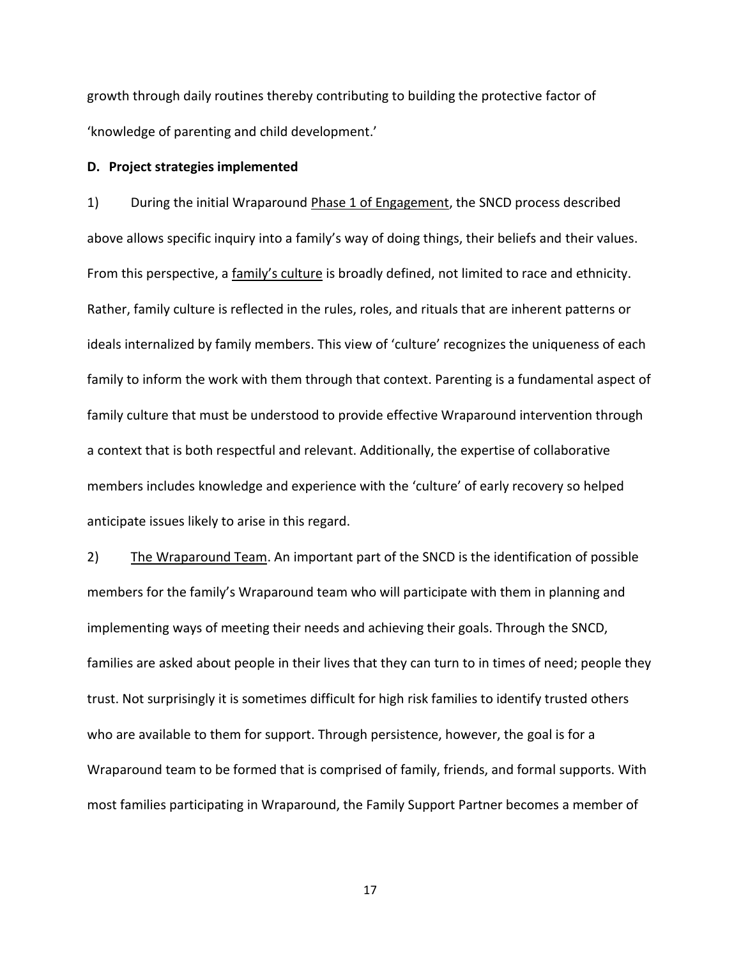growth through daily routines thereby contributing to building the protective factor of 'knowledge of parenting and child development.'

## **D. Project strategies implemented**

1) During the initial Wraparound Phase 1 of Engagement, the SNCD process described above allows specific inquiry into a family's way of doing things, their beliefs and their values. From this perspective, a family's culture is broadly defined, not limited to race and ethnicity. Rather, family culture is reflected in the rules, roles, and rituals that are inherent patterns or ideals internalized by family members. This view of 'culture' recognizes the uniqueness of each family to inform the work with them through that context. Parenting is a fundamental aspect of family culture that must be understood to provide effective Wraparound intervention through a context that is both respectful and relevant. Additionally, the expertise of collaborative members includes knowledge and experience with the 'culture' of early recovery so helped anticipate issues likely to arise in this regard.

2) The Wraparound Team. An important part of the SNCD is the identification of possible members for the family's Wraparound team who will participate with them in planning and implementing ways of meeting their needs and achieving their goals. Through the SNCD, families are asked about people in their lives that they can turn to in times of need; people they trust. Not surprisingly it is sometimes difficult for high risk families to identify trusted others who are available to them for support. Through persistence, however, the goal is for a Wraparound team to be formed that is comprised of family, friends, and formal supports. With most families participating in Wraparound, the Family Support Partner becomes a member of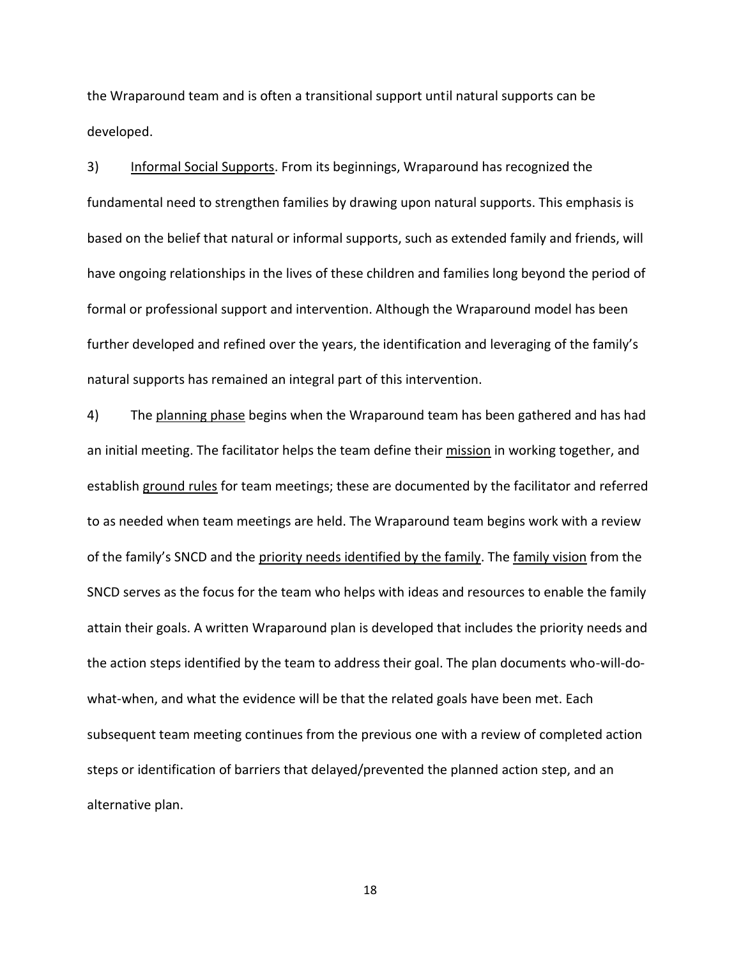the Wraparound team and is often a transitional support until natural supports can be developed.

3) Informal Social Supports. From its beginnings, Wraparound has recognized the fundamental need to strengthen families by drawing upon natural supports. This emphasis is based on the belief that natural or informal supports, such as extended family and friends, will have ongoing relationships in the lives of these children and families long beyond the period of formal or professional support and intervention. Although the Wraparound model has been further developed and refined over the years, the identification and leveraging of the family's natural supports has remained an integral part of this intervention.

4) The planning phase begins when the Wraparound team has been gathered and has had an initial meeting. The facilitator helps the team define their mission in working together, and establish ground rules for team meetings; these are documented by the facilitator and referred to as needed when team meetings are held. The Wraparound team begins work with a review of the family's SNCD and the priority needs identified by the family. The family vision from the SNCD serves as the focus for the team who helps with ideas and resources to enable the family attain their goals. A written Wraparound plan is developed that includes the priority needs and the action steps identified by the team to address their goal. The plan documents who-will-dowhat-when, and what the evidence will be that the related goals have been met. Each subsequent team meeting continues from the previous one with a review of completed action steps or identification of barriers that delayed/prevented the planned action step, and an alternative plan.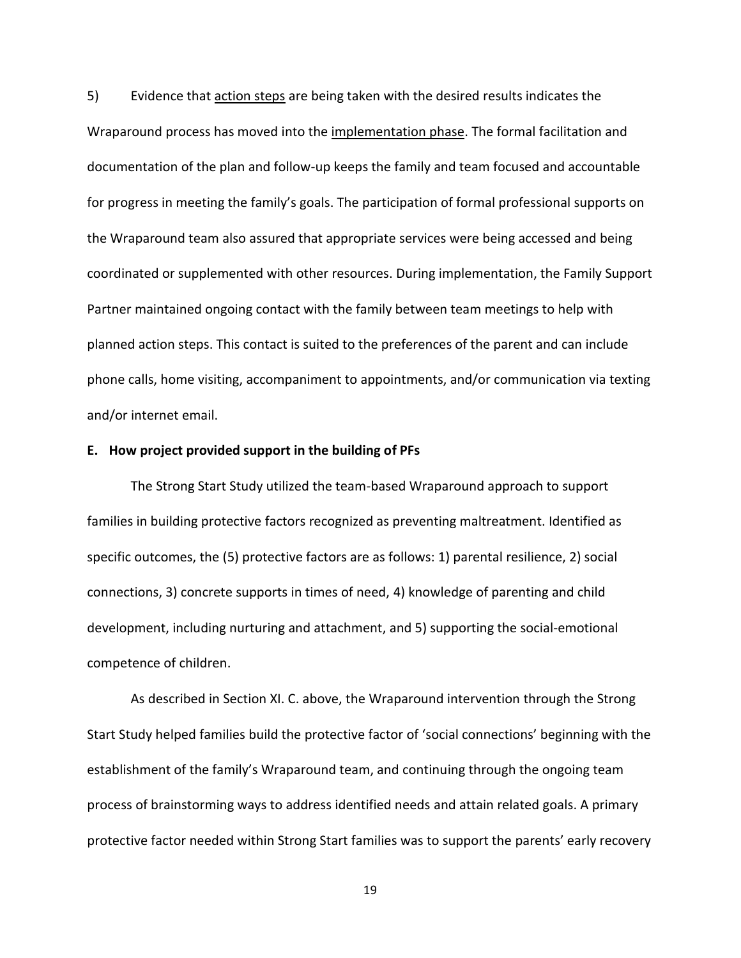5) Evidence that action steps are being taken with the desired results indicates the Wraparound process has moved into the implementation phase. The formal facilitation and documentation of the plan and follow-up keeps the family and team focused and accountable for progress in meeting the family's goals. The participation of formal professional supports on the Wraparound team also assured that appropriate services were being accessed and being coordinated or supplemented with other resources. During implementation, the Family Support Partner maintained ongoing contact with the family between team meetings to help with planned action steps. This contact is suited to the preferences of the parent and can include phone calls, home visiting, accompaniment to appointments, and/or communication via texting and/or internet email.

#### **E. How project provided support in the building of PFs**

The Strong Start Study utilized the team-based Wraparound approach to support families in building protective factors recognized as preventing maltreatment. Identified as specific outcomes, the (5) protective factors are as follows: 1) parental resilience, 2) social connections, 3) concrete supports in times of need, 4) knowledge of parenting and child development, including nurturing and attachment, and 5) supporting the social-emotional competence of children.

As described in Section XI. C. above, the Wraparound intervention through the Strong Start Study helped families build the protective factor of 'social connections' beginning with the establishment of the family's Wraparound team, and continuing through the ongoing team process of brainstorming ways to address identified needs and attain related goals. A primary protective factor needed within Strong Start families was to support the parents' early recovery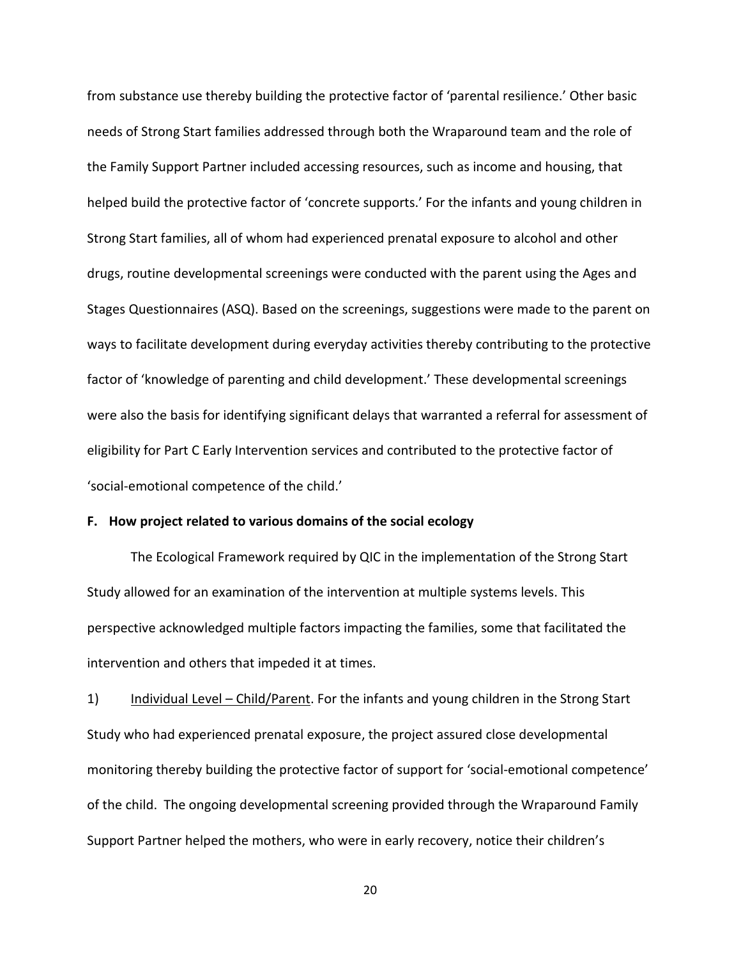from substance use thereby building the protective factor of 'parental resilience.' Other basic needs of Strong Start families addressed through both the Wraparound team and the role of the Family Support Partner included accessing resources, such as income and housing, that helped build the protective factor of 'concrete supports.' For the infants and young children in Strong Start families, all of whom had experienced prenatal exposure to alcohol and other drugs, routine developmental screenings were conducted with the parent using the Ages and Stages Questionnaires (ASQ). Based on the screenings, suggestions were made to the parent on ways to facilitate development during everyday activities thereby contributing to the protective factor of 'knowledge of parenting and child development.' These developmental screenings were also the basis for identifying significant delays that warranted a referral for assessment of eligibility for Part C Early Intervention services and contributed to the protective factor of 'social-emotional competence of the child.'

# **F. How project related to various domains of the social ecology**

The Ecological Framework required by QIC in the implementation of the Strong Start Study allowed for an examination of the intervention at multiple systems levels. This perspective acknowledged multiple factors impacting the families, some that facilitated the intervention and others that impeded it at times.

1) Individual Level – Child/Parent. For the infants and young children in the Strong Start Study who had experienced prenatal exposure, the project assured close developmental monitoring thereby building the protective factor of support for 'social-emotional competence' of the child. The ongoing developmental screening provided through the Wraparound Family Support Partner helped the mothers, who were in early recovery, notice their children's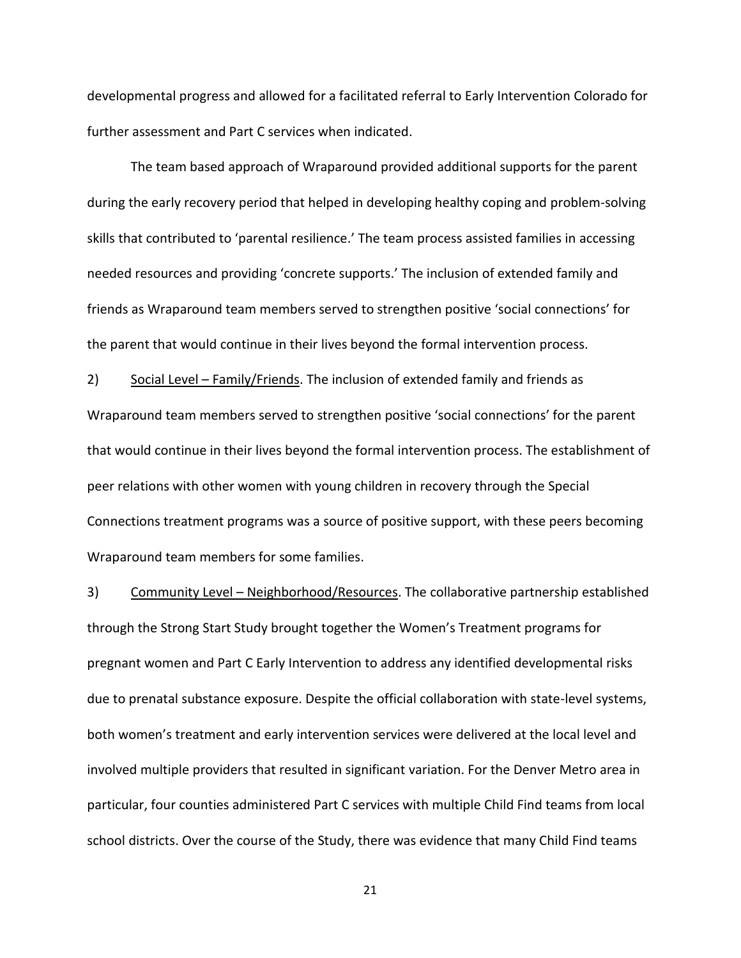developmental progress and allowed for a facilitated referral to Early Intervention Colorado for further assessment and Part C services when indicated.

The team based approach of Wraparound provided additional supports for the parent during the early recovery period that helped in developing healthy coping and problem-solving skills that contributed to 'parental resilience.' The team process assisted families in accessing needed resources and providing 'concrete supports.' The inclusion of extended family and friends as Wraparound team members served to strengthen positive 'social connections' for the parent that would continue in their lives beyond the formal intervention process.

2) Social Level – Family/Friends. The inclusion of extended family and friends as Wraparound team members served to strengthen positive 'social connections' for the parent that would continue in their lives beyond the formal intervention process. The establishment of peer relations with other women with young children in recovery through the Special Connections treatment programs was a source of positive support, with these peers becoming Wraparound team members for some families.

3) Community Level – Neighborhood/Resources. The collaborative partnership established through the Strong Start Study brought together the Women's Treatment programs for pregnant women and Part C Early Intervention to address any identified developmental risks due to prenatal substance exposure. Despite the official collaboration with state-level systems, both women's treatment and early intervention services were delivered at the local level and involved multiple providers that resulted in significant variation. For the Denver Metro area in particular, four counties administered Part C services with multiple Child Find teams from local school districts. Over the course of the Study, there was evidence that many Child Find teams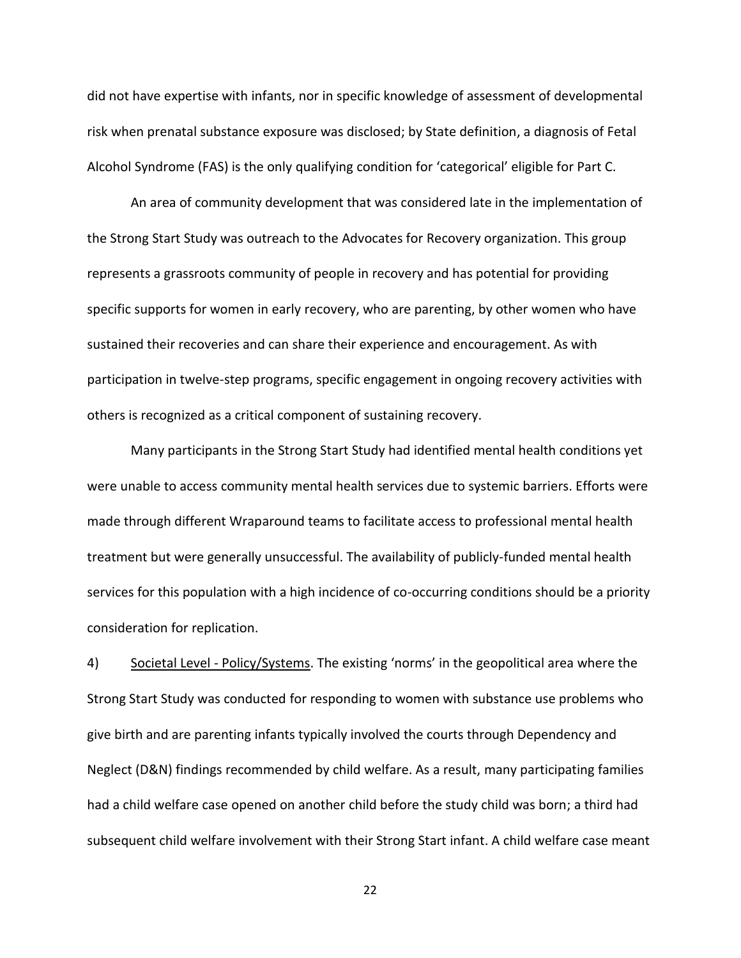did not have expertise with infants, nor in specific knowledge of assessment of developmental risk when prenatal substance exposure was disclosed; by State definition, a diagnosis of Fetal Alcohol Syndrome (FAS) is the only qualifying condition for 'categorical' eligible for Part C.

An area of community development that was considered late in the implementation of the Strong Start Study was outreach to the Advocates for Recovery organization. This group represents a grassroots community of people in recovery and has potential for providing specific supports for women in early recovery, who are parenting, by other women who have sustained their recoveries and can share their experience and encouragement. As with participation in twelve-step programs, specific engagement in ongoing recovery activities with others is recognized as a critical component of sustaining recovery.

Many participants in the Strong Start Study had identified mental health conditions yet were unable to access community mental health services due to systemic barriers. Efforts were made through different Wraparound teams to facilitate access to professional mental health treatment but were generally unsuccessful. The availability of publicly-funded mental health services for this population with a high incidence of co-occurring conditions should be a priority consideration for replication.

4) Societal Level - Policy/Systems. The existing 'norms' in the geopolitical area where the Strong Start Study was conducted for responding to women with substance use problems who give birth and are parenting infants typically involved the courts through Dependency and Neglect (D&N) findings recommended by child welfare. As a result, many participating families had a child welfare case opened on another child before the study child was born; a third had subsequent child welfare involvement with their Strong Start infant. A child welfare case meant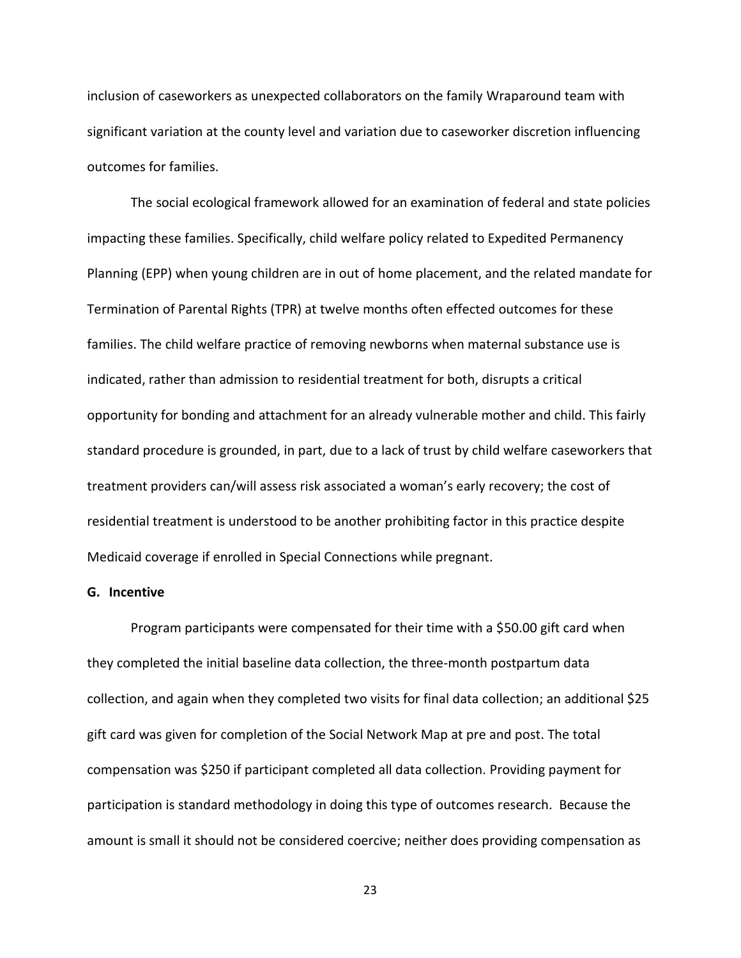inclusion of caseworkers as unexpected collaborators on the family Wraparound team with significant variation at the county level and variation due to caseworker discretion influencing outcomes for families.

The social ecological framework allowed for an examination of federal and state policies impacting these families. Specifically, child welfare policy related to Expedited Permanency Planning (EPP) when young children are in out of home placement, and the related mandate for Termination of Parental Rights (TPR) at twelve months often effected outcomes for these families. The child welfare practice of removing newborns when maternal substance use is indicated, rather than admission to residential treatment for both, disrupts a critical opportunity for bonding and attachment for an already vulnerable mother and child. This fairly standard procedure is grounded, in part, due to a lack of trust by child welfare caseworkers that treatment providers can/will assess risk associated a woman's early recovery; the cost of residential treatment is understood to be another prohibiting factor in this practice despite Medicaid coverage if enrolled in Special Connections while pregnant.

# **G. Incentive**

Program participants were compensated for their time with a \$50.00 gift card when they completed the initial baseline data collection, the three-month postpartum data collection, and again when they completed two visits for final data collection; an additional \$25 gift card was given for completion of the Social Network Map at pre and post. The total compensation was \$250 if participant completed all data collection. Providing payment for participation is standard methodology in doing this type of outcomes research. Because the amount is small it should not be considered coercive; neither does providing compensation as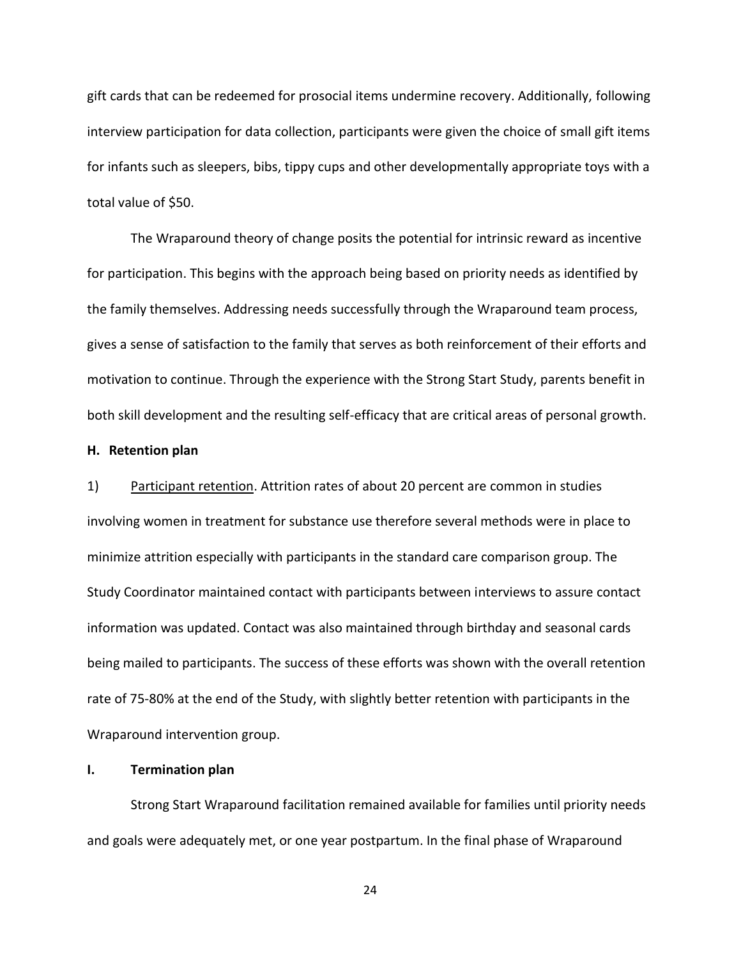gift cards that can be redeemed for prosocial items undermine recovery. Additionally, following interview participation for data collection, participants were given the choice of small gift items for infants such as sleepers, bibs, tippy cups and other developmentally appropriate toys with a total value of \$50.

The Wraparound theory of change posits the potential for intrinsic reward as incentive for participation. This begins with the approach being based on priority needs as identified by the family themselves. Addressing needs successfully through the Wraparound team process, gives a sense of satisfaction to the family that serves as both reinforcement of their efforts and motivation to continue. Through the experience with the Strong Start Study, parents benefit in both skill development and the resulting self-efficacy that are critical areas of personal growth.

#### **H. Retention plan**

1) Participant retention. Attrition rates of about 20 percent are common in studies involving women in treatment for substance use therefore several methods were in place to minimize attrition especially with participants in the standard care comparison group. The Study Coordinator maintained contact with participants between interviews to assure contact information was updated. Contact was also maintained through birthday and seasonal cards being mailed to participants. The success of these efforts was shown with the overall retention rate of 75-80% at the end of the Study, with slightly better retention with participants in the Wraparound intervention group.

#### **I. Termination plan**

Strong Start Wraparound facilitation remained available for families until priority needs and goals were adequately met, or one year postpartum. In the final phase of Wraparound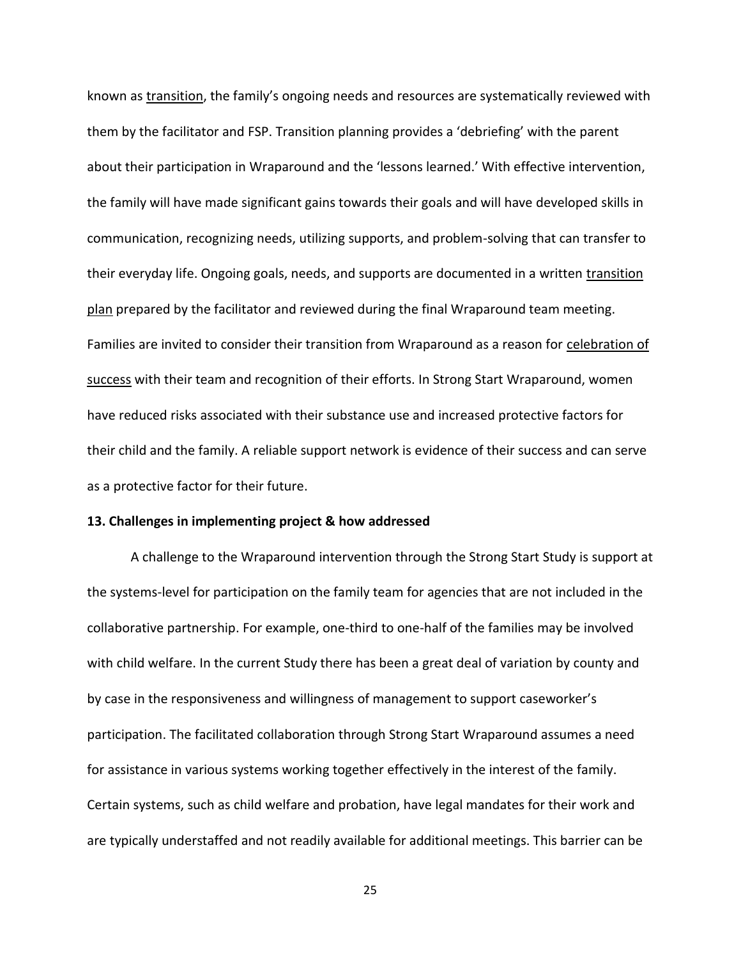known as transition, the family's ongoing needs and resources are systematically reviewed with them by the facilitator and FSP. Transition planning provides a 'debriefing' with the parent about their participation in Wraparound and the 'lessons learned.' With effective intervention, the family will have made significant gains towards their goals and will have developed skills in communication, recognizing needs, utilizing supports, and problem-solving that can transfer to their everyday life. Ongoing goals, needs, and supports are documented in a written transition plan prepared by the facilitator and reviewed during the final Wraparound team meeting. Families are invited to consider their transition from Wraparound as a reason for celebration of success with their team and recognition of their efforts. In Strong Start Wraparound, women have reduced risks associated with their substance use and increased protective factors for their child and the family. A reliable support network is evidence of their success and can serve as a protective factor for their future.

## **13. Challenges in implementing project & how addressed**

A challenge to the Wraparound intervention through the Strong Start Study is support at the systems-level for participation on the family team for agencies that are not included in the collaborative partnership. For example, one-third to one-half of the families may be involved with child welfare. In the current Study there has been a great deal of variation by county and by case in the responsiveness and willingness of management to support caseworker's participation. The facilitated collaboration through Strong Start Wraparound assumes a need for assistance in various systems working together effectively in the interest of the family. Certain systems, such as child welfare and probation, have legal mandates for their work and are typically understaffed and not readily available for additional meetings. This barrier can be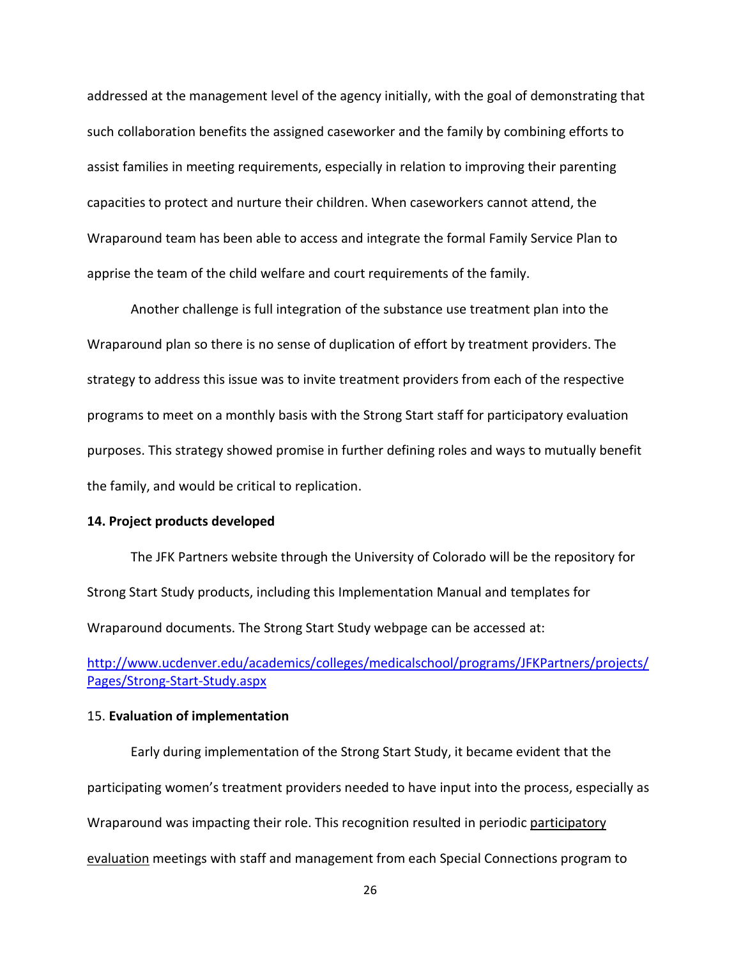addressed at the management level of the agency initially, with the goal of demonstrating that such collaboration benefits the assigned caseworker and the family by combining efforts to assist families in meeting requirements, especially in relation to improving their parenting capacities to protect and nurture their children. When caseworkers cannot attend, the Wraparound team has been able to access and integrate the formal Family Service Plan to apprise the team of the child welfare and court requirements of the family.

Another challenge is full integration of the substance use treatment plan into the Wraparound plan so there is no sense of duplication of effort by treatment providers. The strategy to address this issue was to invite treatment providers from each of the respective programs to meet on a monthly basis with the Strong Start staff for participatory evaluation purposes. This strategy showed promise in further defining roles and ways to mutually benefit the family, and would be critical to replication.

# **14. Project products developed**

The JFK Partners website through the University of Colorado will be the repository for Strong Start Study products, including this Implementation Manual and templates for Wraparound documents. The Strong Start Study webpage can be accessed at:

[http://www.ucdenver.edu/academics/colleges/medicalschool/programs/JFKPartners/projects/](http://www.ucdenver.edu/academics/colleges/medicalschool/programs/JFKPartners/projects/Pages/Strong-Start-Study.aspx) [Pages/Strong-Start-Study.aspx](http://www.ucdenver.edu/academics/colleges/medicalschool/programs/JFKPartners/projects/Pages/Strong-Start-Study.aspx)

## 15. **Evaluation of implementation**

Early during implementation of the Strong Start Study, it became evident that the participating women's treatment providers needed to have input into the process, especially as Wraparound was impacting their role. This recognition resulted in periodic participatory evaluation meetings with staff and management from each Special Connections program to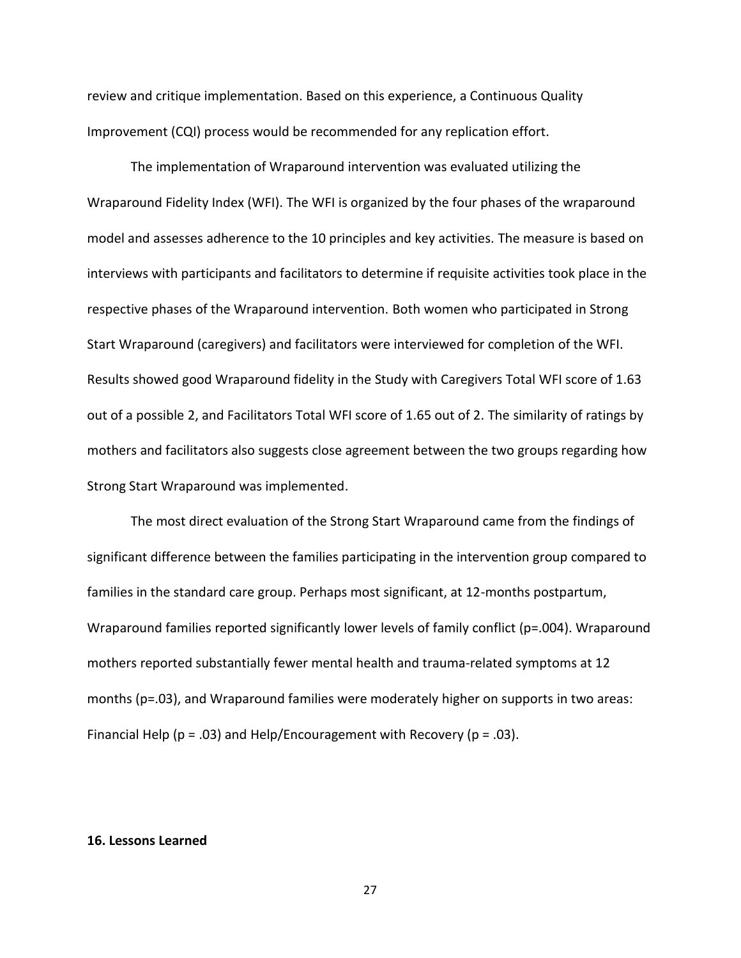review and critique implementation. Based on this experience, a Continuous Quality Improvement (CQI) process would be recommended for any replication effort.

The implementation of Wraparound intervention was evaluated utilizing the Wraparound Fidelity Index (WFI). The WFI is organized by the four phases of the wraparound model and assesses adherence to the 10 principles and key activities. The measure is based on interviews with participants and facilitators to determine if requisite activities took place in the respective phases of the Wraparound intervention. Both women who participated in Strong Start Wraparound (caregivers) and facilitators were interviewed for completion of the WFI. Results showed good Wraparound fidelity in the Study with Caregivers Total WFI score of 1.63 out of a possible 2, and Facilitators Total WFI score of 1.65 out of 2. The similarity of ratings by mothers and facilitators also suggests close agreement between the two groups regarding how Strong Start Wraparound was implemented.

The most direct evaluation of the Strong Start Wraparound came from the findings of significant difference between the families participating in the intervention group compared to families in the standard care group. Perhaps most significant, at 12-months postpartum, Wraparound families reported significantly lower levels of family conflict (p=.004). Wraparound mothers reported substantially fewer mental health and trauma-related symptoms at 12 months (p=.03), and Wraparound families were moderately higher on supports in two areas: Financial Help ( $p = .03$ ) and Help/Encouragement with Recovery ( $p = .03$ ).

## **16. Lessons Learned**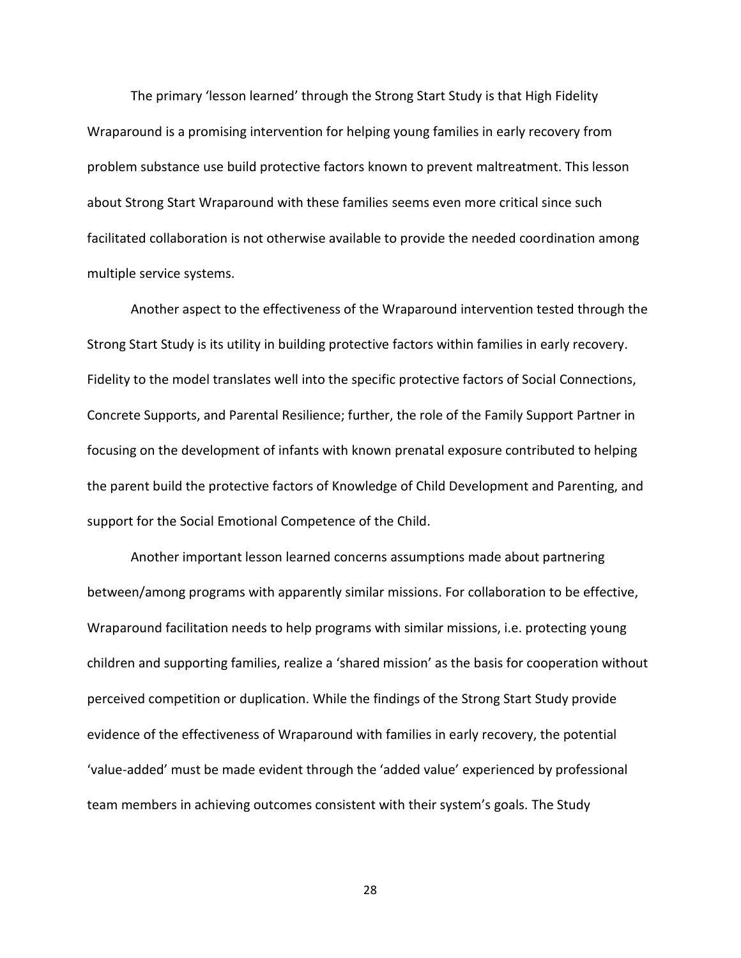The primary 'lesson learned' through the Strong Start Study is that High Fidelity Wraparound is a promising intervention for helping young families in early recovery from problem substance use build protective factors known to prevent maltreatment. This lesson about Strong Start Wraparound with these families seems even more critical since such facilitated collaboration is not otherwise available to provide the needed coordination among multiple service systems.

Another aspect to the effectiveness of the Wraparound intervention tested through the Strong Start Study is its utility in building protective factors within families in early recovery. Fidelity to the model translates well into the specific protective factors of Social Connections, Concrete Supports, and Parental Resilience; further, the role of the Family Support Partner in focusing on the development of infants with known prenatal exposure contributed to helping the parent build the protective factors of Knowledge of Child Development and Parenting, and support for the Social Emotional Competence of the Child.

Another important lesson learned concerns assumptions made about partnering between/among programs with apparently similar missions. For collaboration to be effective, Wraparound facilitation needs to help programs with similar missions, i.e. protecting young children and supporting families, realize a 'shared mission' as the basis for cooperation without perceived competition or duplication. While the findings of the Strong Start Study provide evidence of the effectiveness of Wraparound with families in early recovery, the potential 'value-added' must be made evident through the 'added value' experienced by professional team members in achieving outcomes consistent with their system's goals. The Study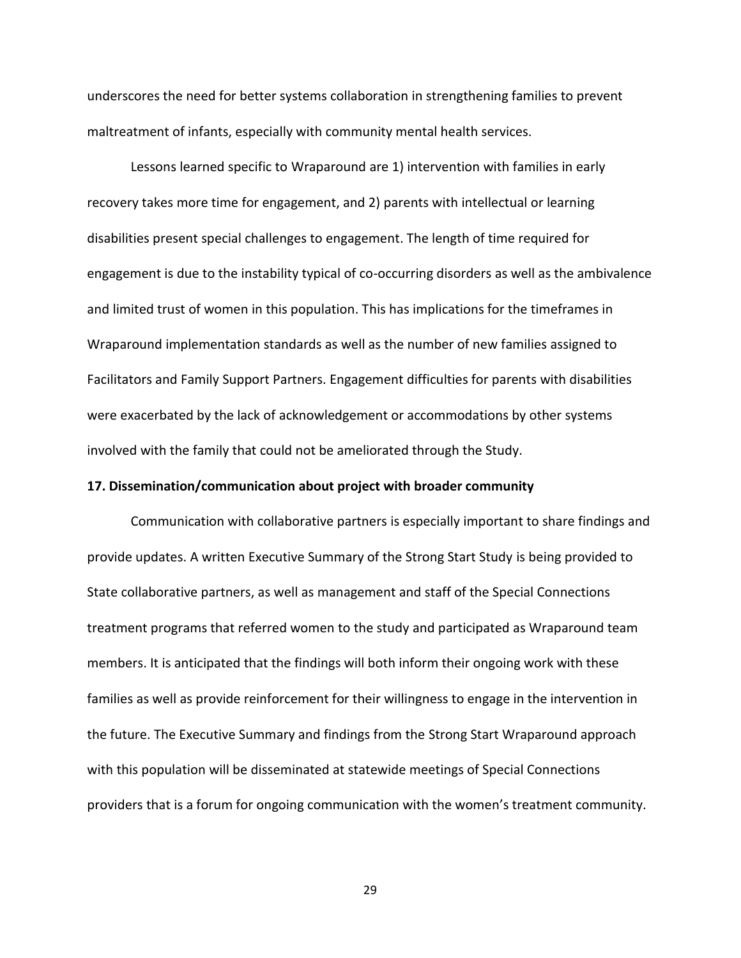underscores the need for better systems collaboration in strengthening families to prevent maltreatment of infants, especially with community mental health services.

Lessons learned specific to Wraparound are 1) intervention with families in early recovery takes more time for engagement, and 2) parents with intellectual or learning disabilities present special challenges to engagement. The length of time required for engagement is due to the instability typical of co-occurring disorders as well as the ambivalence and limited trust of women in this population. This has implications for the timeframes in Wraparound implementation standards as well as the number of new families assigned to Facilitators and Family Support Partners. Engagement difficulties for parents with disabilities were exacerbated by the lack of acknowledgement or accommodations by other systems involved with the family that could not be ameliorated through the Study.

## **17. Dissemination/communication about project with broader community**

Communication with collaborative partners is especially important to share findings and provide updates. A written Executive Summary of the Strong Start Study is being provided to State collaborative partners, as well as management and staff of the Special Connections treatment programs that referred women to the study and participated as Wraparound team members. It is anticipated that the findings will both inform their ongoing work with these families as well as provide reinforcement for their willingness to engage in the intervention in the future. The Executive Summary and findings from the Strong Start Wraparound approach with this population will be disseminated at statewide meetings of Special Connections providers that is a forum for ongoing communication with the women's treatment community.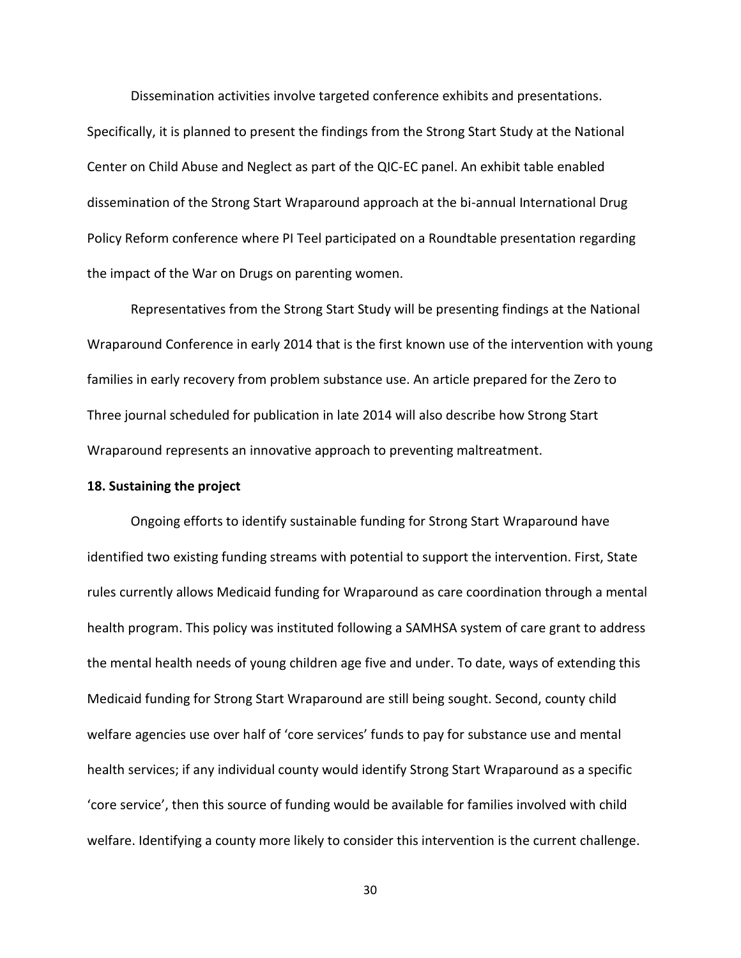Dissemination activities involve targeted conference exhibits and presentations. Specifically, it is planned to present the findings from the Strong Start Study at the National Center on Child Abuse and Neglect as part of the QIC-EC panel. An exhibit table enabled dissemination of the Strong Start Wraparound approach at the bi-annual International Drug Policy Reform conference where PI Teel participated on a Roundtable presentation regarding the impact of the War on Drugs on parenting women.

Representatives from the Strong Start Study will be presenting findings at the National Wraparound Conference in early 2014 that is the first known use of the intervention with young families in early recovery from problem substance use. An article prepared for the Zero to Three journal scheduled for publication in late 2014 will also describe how Strong Start Wraparound represents an innovative approach to preventing maltreatment.

## **18. Sustaining the project**

Ongoing efforts to identify sustainable funding for Strong Start Wraparound have identified two existing funding streams with potential to support the intervention. First, State rules currently allows Medicaid funding for Wraparound as care coordination through a mental health program. This policy was instituted following a SAMHSA system of care grant to address the mental health needs of young children age five and under. To date, ways of extending this Medicaid funding for Strong Start Wraparound are still being sought. Second, county child welfare agencies use over half of 'core services' funds to pay for substance use and mental health services; if any individual county would identify Strong Start Wraparound as a specific 'core service', then this source of funding would be available for families involved with child welfare. Identifying a county more likely to consider this intervention is the current challenge.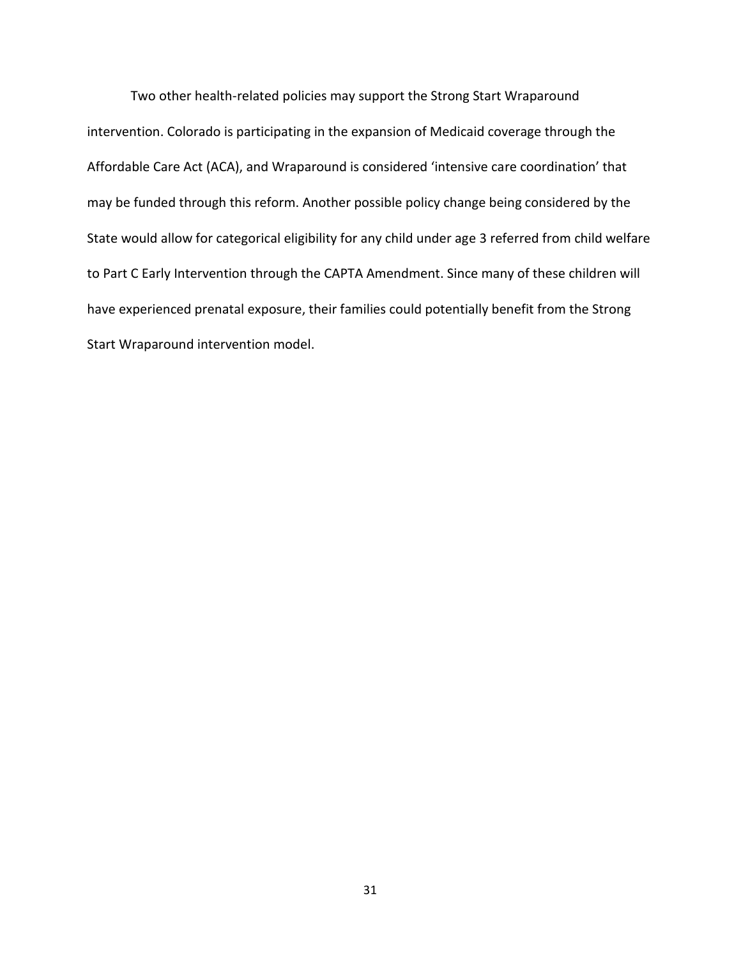Two other health-related policies may support the Strong Start Wraparound intervention. Colorado is participating in the expansion of Medicaid coverage through the Affordable Care Act (ACA), and Wraparound is considered 'intensive care coordination' that may be funded through this reform. Another possible policy change being considered by the State would allow for categorical eligibility for any child under age 3 referred from child welfare to Part C Early Intervention through the CAPTA Amendment. Since many of these children will have experienced prenatal exposure, their families could potentially benefit from the Strong Start Wraparound intervention model.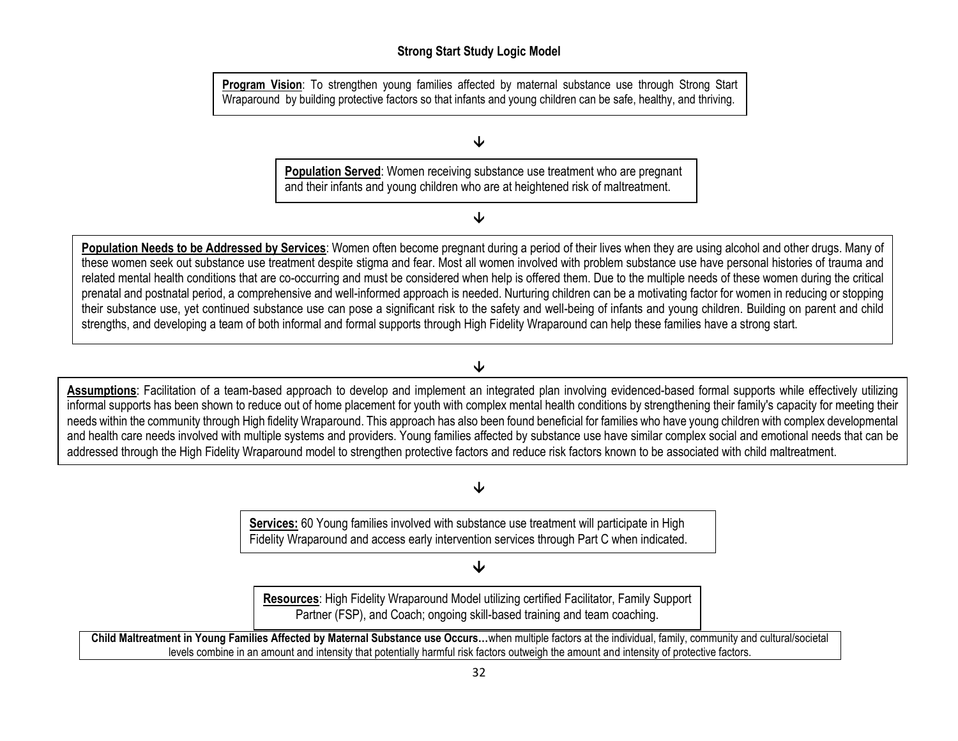# **Strong Start Study Logic Model**

**Program Vision**: To strengthen young families affected by maternal substance use through Strong Start Wraparound by building protective factors so that infants and young children can be safe, healthy, and thriving.

# ↓

**Population Served**: Women receiving substance use treatment who are pregnant and their infants and young children who are at heightened risk of maltreatment.

# $\downarrow$

**Population Needs to be Addressed by Services**: Women often become pregnant during a period of their lives when they are using alcohol and other drugs. Many of these women seek out substance use treatment despite stigma and fear. Most all women involved with problem substance use have personal histories of trauma and related mental health conditions that are co-occurring and must be considered when help is offered them. Due to the multiple needs of these women during the critical prenatal and postnatal period, a comprehensive and well-informed approach is needed. Nurturing children can be a motivating factor for women in reducing or stopping their substance use, yet continued substance use can pose a significant risk to the safety and well-being of infants and young children. Building on parent and child strengths, and developing a team of both informal and formal supports through High Fidelity Wraparound can help these families have a strong start.

# $\overline{\mathbf{V}}$

**Assumptions**: Facilitation of a team-based approach to develop and implement an integrated plan involving evidenced-based formal supports while effectively utilizing informal supports has been shown to reduce out of home placement for youth with complex mental health conditions by strengthening their family's capacity for meeting their needs within the community through High fidelity Wraparound. This approach has also been found beneficial for families who have young children with complex developmental and health care needs involved with multiple systems and providers. Young families affected by substance use have similar complex social and emotional needs that can be addressed through the High Fidelity Wraparound model to strengthen protective factors and reduce risk factors known to be associated with child maltreatment.

## ↓

**Services:** 60 Young families involved with substance use treatment will participate in High Fidelity Wraparound and access early intervention services through Part C when indicated.

## 业

**Resources**: High Fidelity Wraparound Model utilizing certified Facilitator, Family Support Partner (FSP), and Coach; ongoing skill-based training and team coaching.

**Child Maltreatment in Young Families Affected by Maternal Substance use Occurs…**when multiple factors at the individual, family, community and cultural/societal levels combine in an amount and intensity that potentially harmful risk factors outweigh the amount and intensity of protective factors.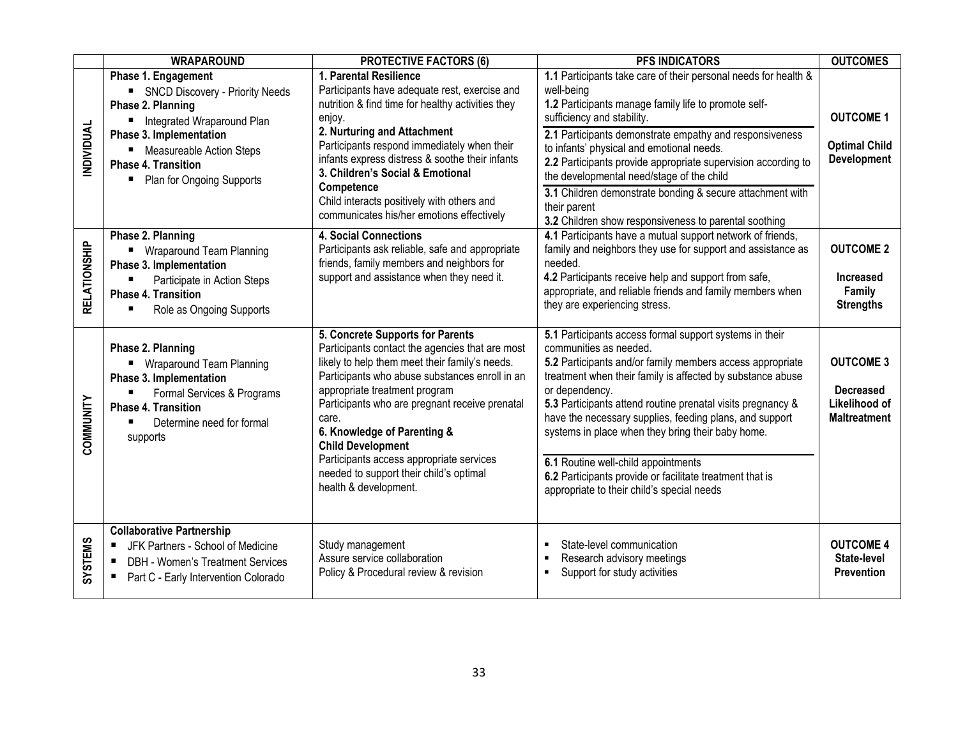|                  | <b>WRAPAROUND</b>                                                                                                                                                                                                                 | <b>PROTECTIVE FACTORS (6)</b>                                                                                                                                                                                                                                                                                                                                                                                                                                  | <b>PFS INDICATORS</b>                                                                                                                                                                                                                                                                                                                                                                                                                                                                                                                                          | <b>OUTCOMES</b>                                                              |
|------------------|-----------------------------------------------------------------------------------------------------------------------------------------------------------------------------------------------------------------------------------|----------------------------------------------------------------------------------------------------------------------------------------------------------------------------------------------------------------------------------------------------------------------------------------------------------------------------------------------------------------------------------------------------------------------------------------------------------------|----------------------------------------------------------------------------------------------------------------------------------------------------------------------------------------------------------------------------------------------------------------------------------------------------------------------------------------------------------------------------------------------------------------------------------------------------------------------------------------------------------------------------------------------------------------|------------------------------------------------------------------------------|
| NDIVIDUAL        | Phase 1. Engagement<br>SNCD Discovery - Priority Needs<br>Phase 2. Planning<br>■ Integrated Wraparound Plan<br>Phase 3. Implementation<br>■ Measureable Action Steps<br><b>Phase 4. Transition</b><br>• Plan for Ongoing Supports | 1. Parental Resilience<br>Participants have adequate rest, exercise and<br>nutrition & find time for healthy activities they<br>enjoy.<br>2. Nurturing and Attachment<br>Participants respond immediately when their<br>infants express distress & soothe their infants<br>3. Children's Social & Emotional<br>Competence<br>Child interacts positively with others and<br>communicates his/her emotions effectively                                           | 1.1 Participants take care of their personal needs for health &<br>well-being<br>1.2 Participants manage family life to promote self-<br>sufficiency and stability.<br>2.1 Participants demonstrate empathy and responsiveness<br>to infants' physical and emotional needs.<br>2.2 Participants provide appropriate supervision according to<br>the developmental need/stage of the child<br>3.1 Children demonstrate bonding & secure attachment with<br>their parent<br>3.2 Children show responsiveness to parental soothing                                | <b>OUTCOME 1</b><br><b>Optimal Child</b><br><b>Development</b>               |
| RELATIONSHIP     | Phase 2. Planning<br>■ Wraparound Team Planning<br>Phase 3. Implementation<br>Participate in Action Steps<br><b>Phase 4. Transition</b><br>Role as Ongoing Supports<br>п                                                          | <b>4. Social Connections</b><br>Participants ask reliable, safe and appropriate<br>friends, family members and neighbors for<br>support and assistance when they need it.                                                                                                                                                                                                                                                                                      | 4.1 Participants have a mutual support network of friends,<br>family and neighbors they use for support and assistance as<br>needed.<br>4.2 Participants receive help and support from safe,<br>appropriate, and reliable friends and family members when<br>they are experiencing stress.                                                                                                                                                                                                                                                                     | <b>OUTCOME 2</b><br><b>Increased</b><br>Family<br><b>Strengths</b>           |
| <b>COMMUNITY</b> | Phase 2. Planning<br>■ Wraparound Team Planning<br>Phase 3. Implementation<br>Formal Services & Programs<br><b>Phase 4. Transition</b><br>Determine need for formal<br>supports                                                   | 5. Concrete Supports for Parents<br>Participants contact the agencies that are most<br>likely to help them meet their family's needs.<br>Participants who abuse substances enroll in an<br>appropriate treatment program<br>Participants who are pregnant receive prenatal<br>care.<br>6. Knowledge of Parenting &<br><b>Child Development</b><br>Participants access appropriate services<br>needed to support their child's optimal<br>health & development. | 5.1 Participants access formal support systems in their<br>communities as needed.<br>5.2 Participants and/or family members access appropriate<br>treatment when their family is affected by substance abuse<br>or dependency.<br>5.3 Participants attend routine prenatal visits pregnancy &<br>have the necessary supplies, feeding plans, and support<br>systems in place when they bring their baby home.<br>6.1 Routine well-child appointments<br>6.2 Participants provide or facilitate treatment that is<br>appropriate to their child's special needs | <b>OUTCOME 3</b><br><b>Decreased</b><br>Likelihood of<br><b>Maltreatment</b> |
| <b>SVSTEMS</b>   | <b>Collaborative Partnership</b><br>JFK Partners - School of Medicine<br>DBH - Women's Treatment Services<br>Part C - Early Intervention Colorado                                                                                 | Study management<br>Assure service collaboration<br>Policy & Procedural review & revision                                                                                                                                                                                                                                                                                                                                                                      | State-level communication<br>Research advisory meetings<br>Support for study activities                                                                                                                                                                                                                                                                                                                                                                                                                                                                        | <b>OUTCOME 4</b><br>State-level<br><b>Prevention</b>                         |